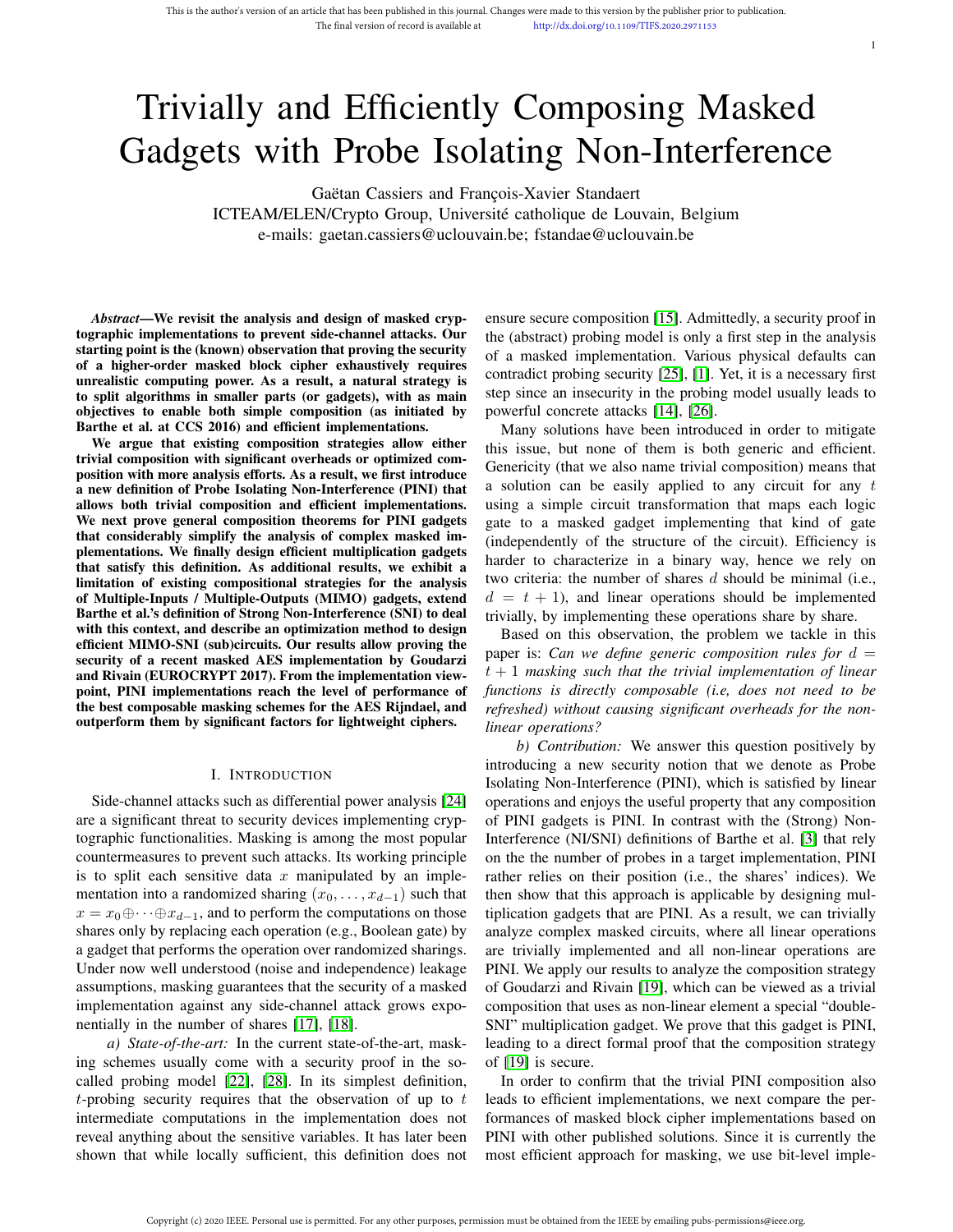# Trivially and Efficiently Composing Masked Gadgets with Probe Isolating Non-Interference

Gaëtan Cassiers and François-Xavier Standaert

ICTEAM/ELEN/Crypto Group, Université catholique de Louvain, Belgium e-mails: gaetan.cassiers@uclouvain.be; fstandae@uclouvain.be

*Abstract*—We revisit the analysis and design of masked cryptographic implementations to prevent side-channel attacks. Our starting point is the (known) observation that proving the security of a higher-order masked block cipher exhaustively requires unrealistic computing power. As a result, a natural strategy is to split algorithms in smaller parts (or gadgets), with as main objectives to enable both simple composition (as initiated by Barthe et al. at CCS 2016) and efficient implementations.

We argue that existing composition strategies allow either trivial composition with significant overheads or optimized composition with more analysis efforts. As a result, we first introduce a new definition of Probe Isolating Non-Interference (PINI) that allows both trivial composition and efficient implementations. We next prove general composition theorems for PINI gadgets that considerably simplify the analysis of complex masked implementations. We finally design efficient multiplication gadgets that satisfy this definition. As additional results, we exhibit a limitation of existing compositional strategies for the analysis of Multiple-Inputs / Multiple-Outputs (MIMO) gadgets, extend Barthe et al.'s definition of Strong Non-Interference (SNI) to deal with this context, and describe an optimization method to design efficient MIMO-SNI (sub)circuits. Our results allow proving the security of a recent masked AES implementation by Goudarzi and Rivain (EUROCRYPT 2017). From the implementation viewpoint, PINI implementations reach the level of performance of the best composable masking schemes for the AES Rijndael, and outperform them by significant factors for lightweight ciphers.

## I. INTRODUCTION

Side-channel attacks such as differential power analysis [24] are a significant threat to security devices implementing cryptographic functionalities. Masking is among the most popular countermeasures to prevent such attacks. Its working principle is to split each sensitive data  $x$  manipulated by an implementation into a randomized sharing  $(x_0, \ldots, x_{d-1})$  such that  $x = x_0 \oplus \cdots \oplus x_{d-1}$ , and to perform the computations on those shares only by replacing each operation (e.g., Boolean gate) by a gadget that performs the operation over randomized sharings. Under now well understood (noise and independence) leakage assumptions, masking guarantees that the security of a masked implementation against any side-channel attack grows exponentially in the number of shares [17], [18].

*a) State-of-the-art:* In the current state-of-the-art, masking schemes usually come with a security proof in the socalled probing model [22], [28]. In its simplest definition, t-probing security requires that the observation of up to  $t$ intermediate computations in the implementation does not reveal anything about the sensitive variables. It has later been shown that while locally sufficient, this definition does not ensure secure composition [15]. Admittedly, a security proof in the (abstract) probing model is only a first step in the analysis of a masked implementation. Various physical defaults can contradict probing security [25], [1]. Yet, it is a necessary first step since an insecurity in the probing model usually leads to powerful concrete attacks [14], [26].

1

Many solutions have been introduced in order to mitigate this issue, but none of them is both generic and efficient. Genericity (that we also name trivial composition) means that a solution can be easily applied to any circuit for any  $t$ using a simple circuit transformation that maps each logic gate to a masked gadget implementing that kind of gate (independently of the structure of the circuit). Efficiency is harder to characterize in a binary way, hence we rely on two criteria: the number of shares  $d$  should be minimal (i.e.,  $d = t + 1$ , and linear operations should be implemented trivially, by implementing these operations share by share.

Based on this observation, the problem we tackle in this paper is: *Can we define generic composition rules for* d = t + 1 *masking such that the trivial implementation of linear functions is directly composable (i.e, does not need to be refreshed) without causing significant overheads for the nonlinear operations?*

*b) Contribution:* We answer this question positively by introducing a new security notion that we denote as Probe Isolating Non-Interference (PINI), which is satisfied by linear operations and enjoys the useful property that any composition of PINI gadgets is PINI. In contrast with the (Strong) Non-Interference (NI/SNI) definitions of Barthe et al. [3] that rely on the the number of probes in a target implementation, PINI rather relies on their position (i.e., the shares' indices). We then show that this approach is applicable by designing multiplication gadgets that are PINI. As a result, we can trivially analyze complex masked circuits, where all linear operations are trivially implemented and all non-linear operations are PINI. We apply our results to analyze the composition strategy of Goudarzi and Rivain [19], which can be viewed as a trivial composition that uses as non-linear element a special "double-SNI" multiplication gadget. We prove that this gadget is PINI, leading to a direct formal proof that the composition strategy of [19] is secure.

In order to confirm that the trivial PINI composition also leads to efficient implementations, we next compare the performances of masked block cipher implementations based on PINI with other published solutions. Since it is currently the most efficient approach for masking, we use bit-level imple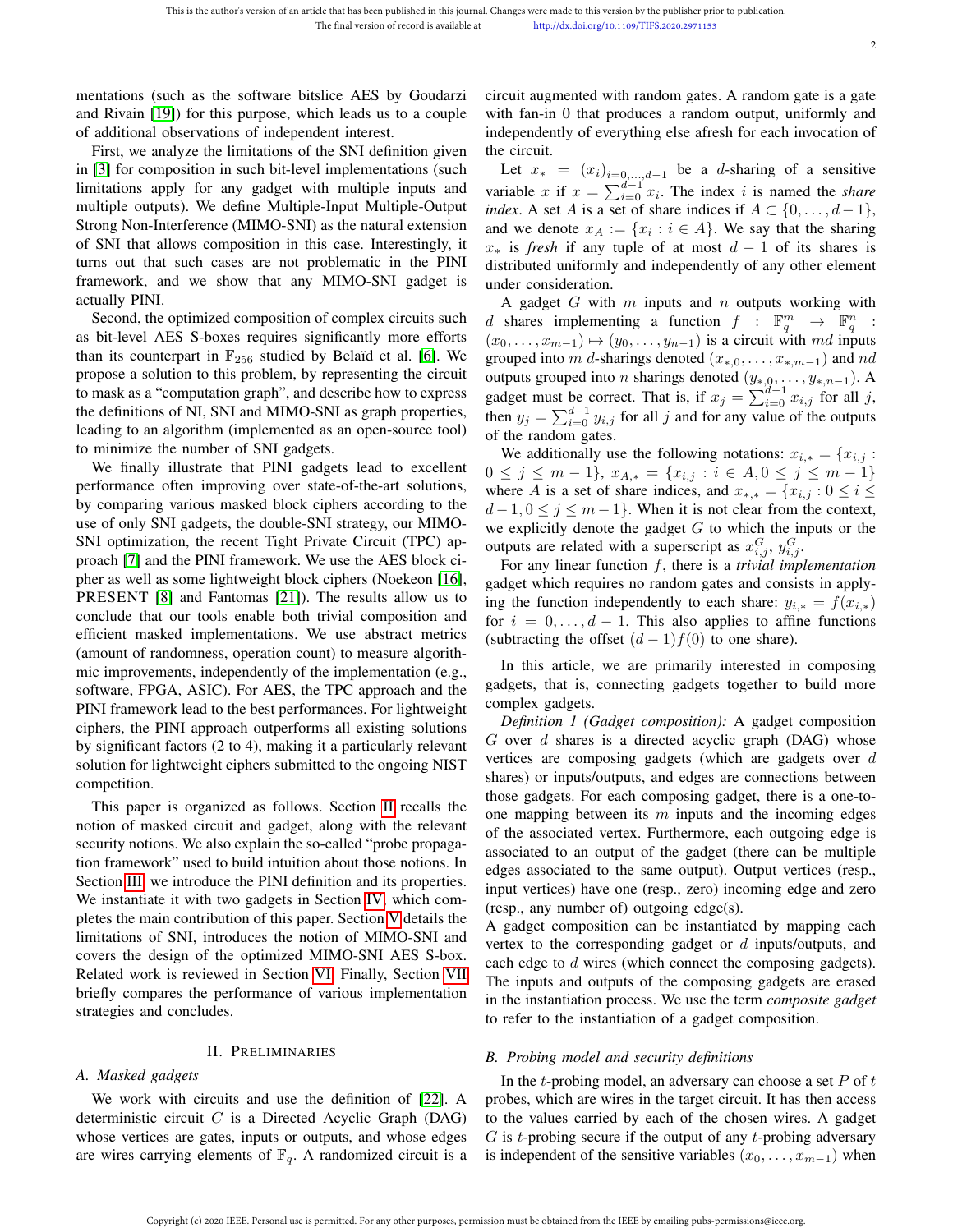mentations (such as the software bitslice AES by Goudarzi and Rivain [19]) for this purpose, which leads us to a couple of additional observations of independent interest.

First, we analyze the limitations of the SNI definition given in [3] for composition in such bit-level implementations (such limitations apply for any gadget with multiple inputs and multiple outputs). We define Multiple-Input Multiple-Output Strong Non-Interference (MIMO-SNI) as the natural extension of SNI that allows composition in this case. Interestingly, it turns out that such cases are not problematic in the PINI framework, and we show that any MIMO-SNI gadget is actually PINI.

Second, the optimized composition of complex circuits such as bit-level AES S-boxes requires significantly more efforts than its counterpart in  $\mathbb{F}_{256}$  studied by Belaïd et al. [6]. We propose a solution to this problem, by representing the circuit to mask as a "computation graph", and describe how to express the definitions of NI, SNI and MIMO-SNI as graph properties, leading to an algorithm (implemented as an open-source tool) to minimize the number of SNI gadgets.

We finally illustrate that PINI gadgets lead to excellent performance often improving over state-of-the-art solutions, by comparing various masked block ciphers according to the use of only SNI gadgets, the double-SNI strategy, our MIMO-SNI optimization, the recent Tight Private Circuit (TPC) approach [7] and the PINI framework. We use the AES block cipher as well as some lightweight block ciphers (Noekeon [16], PRESENT [8] and Fantomas [21]). The results allow us to conclude that our tools enable both trivial composition and efficient masked implementations. We use abstract metrics (amount of randomness, operation count) to measure algorithmic improvements, independently of the implementation (e.g., software, FPGA, ASIC). For AES, the TPC approach and the PINI framework lead to the best performances. For lightweight ciphers, the PINI approach outperforms all existing solutions by significant factors (2 to 4), making it a particularly relevant solution for lightweight ciphers submitted to the ongoing NIST competition.

This paper is organized as follows. Section II recalls the notion of masked circuit and gadget, along with the relevant security notions. We also explain the so-called "probe propagation framework" used to build intuition about those notions. In Section III, we introduce the PINI definition and its properties. We instantiate it with two gadgets in Section IV, which completes the main contribution of this paper. Section V details the limitations of SNI, introduces the notion of MIMO-SNI and covers the design of the optimized MIMO-SNI AES S-box. Related work is reviewed in Section VI. Finally, Section VII briefly compares the performance of various implementation strategies and concludes.

## II. PRELIMINARIES

# *A. Masked gadgets*

We work with circuits and use the definition of [22]. A deterministic circuit  $C$  is a Directed Acyclic Graph (DAG) whose vertices are gates, inputs or outputs, and whose edges are wires carrying elements of  $\mathbb{F}_q$ . A randomized circuit is a

circuit augmented with random gates. A random gate is a gate with fan-in 0 that produces a random output, uniformly and independently of everything else afresh for each invocation of the circuit.

Let  $x_* = (x_i)_{i=0,\dots,d-1}$  be a d-sharing of a sensitive variable x if  $x = \sum_{i=0}^{d-1} x_i$ . The index i is named the *share index*. A set A is a set of share indices if  $A \subset \{0, \ldots, d-1\}$ , and we denote  $x_A := \{x_i : i \in A\}$ . We say that the sharing  $x<sub>*</sub>$  is *fresh* if any tuple of at most  $d - 1$  of its shares is distributed uniformly and independently of any other element under consideration.

A gadget  $G$  with  $m$  inputs and  $n$  outputs working with d shares implementing a function  $f : \mathbb{F}_q^m \to \mathbb{F}_q^n$ :  $(x_0, \ldots, x_{m-1}) \mapsto (y_0, \ldots, y_{n-1})$  is a circuit with md inputs grouped into m d-sharings denoted  $(x_{*,0}, \ldots, x_{*,m-1})$  and nd outputs grouped into *n* sharings denoted  $(y_{*,0}, \ldots, y_{*,n-1})$ . A gadget must be correct. That is, if  $x_j = \sum_{i=0}^{d-1} x_{i,j}$  for all j, then  $y_j = \sum_{i=0}^{d-1} y_{i,j}$  for all j and for any value of the outputs of the random gates.

We additionally use the following notations:  $x_{i,*} = \{x_{i,j} :$  $0 \leq j \leq m-1$ ,  $x_{A,*} = \{x_{i,j} : i \in A, 0 \leq j \leq m-1\}$ where A is a set of share indices, and  $x_{**} = \{x_{i,j} : 0 \le i \le j\}$  $d-1, 0 \le j \le m-1$ . When it is not clear from the context, we explicitly denote the gadget  $G$  to which the inputs or the outputs are related with a superscript as  $x_{i,j}^G$ ,  $y_{i,j}^G$ .

For any linear function f, there is a *trivial implementation* gadget which requires no random gates and consists in applying the function independently to each share:  $y_{i,*} = f(x_{i,*})$ for  $i = 0, \ldots, d - 1$ . This also applies to affine functions (subtracting the offset  $(d-1)f(0)$  to one share).

In this article, we are primarily interested in composing gadgets, that is, connecting gadgets together to build more complex gadgets.

*Definition 1 (Gadget composition):* A gadget composition  $G$  over  $d$  shares is a directed acyclic graph (DAG) whose vertices are composing gadgets (which are gadgets over d shares) or inputs/outputs, and edges are connections between those gadgets. For each composing gadget, there is a one-toone mapping between its  $m$  inputs and the incoming edges of the associated vertex. Furthermore, each outgoing edge is associated to an output of the gadget (there can be multiple edges associated to the same output). Output vertices (resp., input vertices) have one (resp., zero) incoming edge and zero (resp., any number of) outgoing edge(s).

A gadget composition can be instantiated by mapping each vertex to the corresponding gadget or  $d$  inputs/outputs, and each edge to  $d$  wires (which connect the composing gadgets). The inputs and outputs of the composing gadgets are erased in the instantiation process. We use the term *composite gadget* to refer to the instantiation of a gadget composition.

#### *B. Probing model and security definitions*

In the  $t$ -probing model, an adversary can choose a set  $P$  of  $t$ probes, which are wires in the target circuit. It has then access to the values carried by each of the chosen wires. A gadget  $G$  is t-probing secure if the output of any t-probing adversary is independent of the sensitive variables  $(x_0, \ldots, x_{m-1})$  when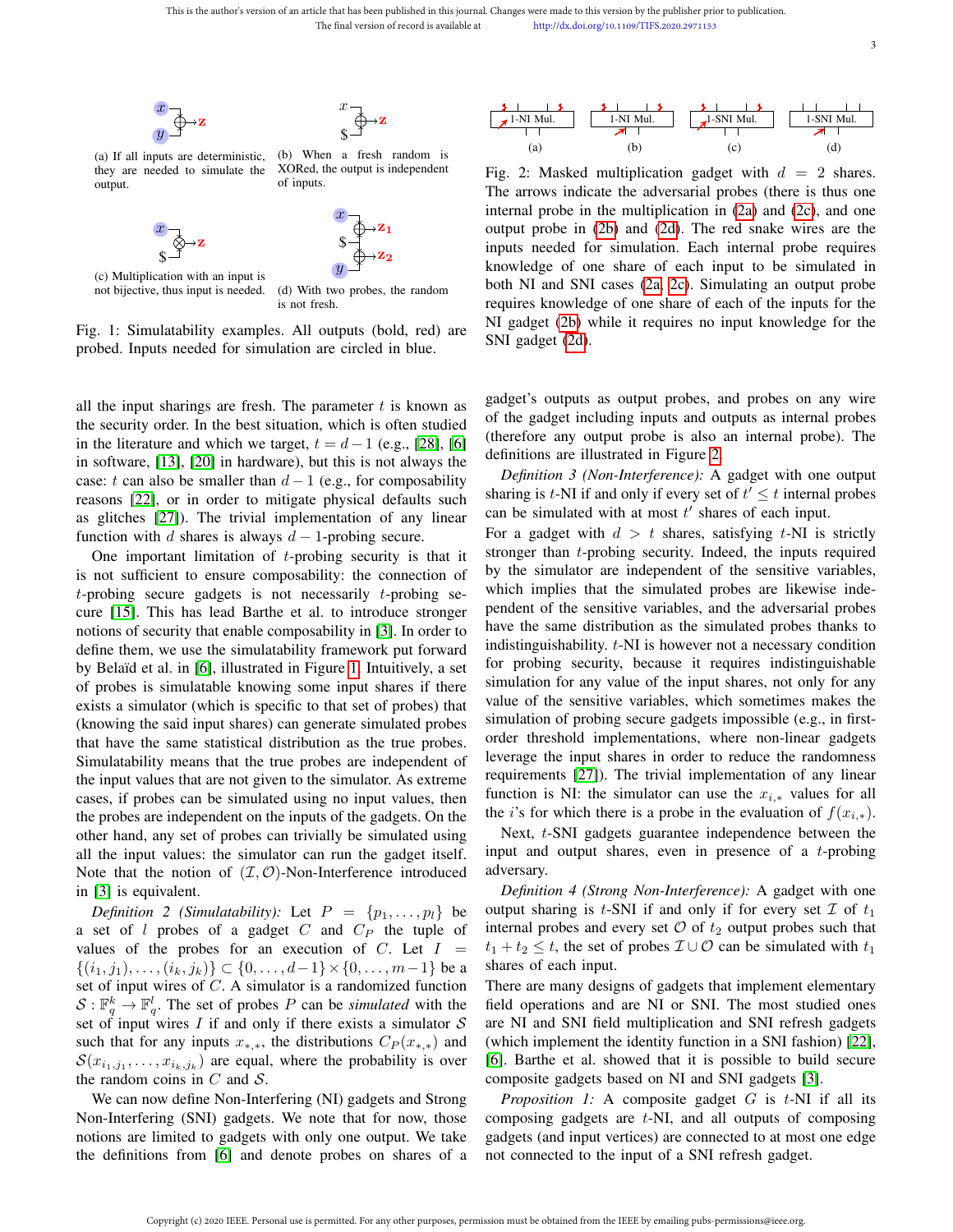



(b) When a fresh random is XORed, the output is independent

(a) If all inputs are deterministic, they are needed to simulate the output.



(c) Multiplication with an input is not bijective, thus input is needed.

\$  $\overline{y}$  $\mathbf{z_{2}}$ (d) With two probes, the random

 $\mathbf{z}_1$ 

 $\overline{x}$ 

is not fresh. Fig. 1: Simulatability examples. All outputs (bold, red) are probed. Inputs needed for simulation are circled in blue.

of inputs.

all the input sharings are fresh. The parameter  $t$  is known as the security order. In the best situation, which is often studied in the literature and which we target,  $t = d - 1$  (e.g., [28], [6] in software, [13], [20] in hardware), but this is not always the case: t can also be smaller than  $d-1$  (e.g., for composability reasons [22], or in order to mitigate physical defaults such as glitches [27]). The trivial implementation of any linear function with d shares is always  $d - 1$ -probing secure.

One important limitation of  $t$ -probing security is that it is not sufficient to ensure composability: the connection of  $t$ -probing secure gadgets is not necessarily  $t$ -probing secure [15]. This has lead Barthe et al. to introduce stronger notions of security that enable composability in [3]. In order to define them, we use the simulatability framework put forward by Belaïd et al. in [6], illustrated in Figure 1. Intuitively, a set of probes is simulatable knowing some input shares if there exists a simulator (which is specific to that set of probes) that (knowing the said input shares) can generate simulated probes that have the same statistical distribution as the true probes. Simulatability means that the true probes are independent of the input values that are not given to the simulator. As extreme cases, if probes can be simulated using no input values, then the probes are independent on the inputs of the gadgets. On the other hand, any set of probes can trivially be simulated using all the input values: the simulator can run the gadget itself. Note that the notion of  $(\mathcal{I}, \mathcal{O})$ -Non-Interference introduced in [3] is equivalent.

*Definition 2 (Simulatability):* Let  $P = \{p_1, \ldots, p_l\}$  be a set of l probes of a gadget C and  $C_P$  the tuple of values of the probes for an execution of  $C$ . Let  $I =$  $\{(i_1, j_1), \ldots, (i_k, j_k)\}\subset \{0, \ldots, d-1\}\times \{0, \ldots, m-1\}$  be a set of input wires of C. A simulator is a randomized function  $S: \mathbb{F}_q^k \to \mathbb{F}_q^l$ . The set of probes P can be *simulated* with the set of input wires  $I$  if and only if there exists a simulator  $S$ such that for any inputs  $x_{*,*}$ , the distributions  $C_P(x_{*,*})$  and  $S(x_{i_1,j_1},...,x_{i_k,j_k})$  are equal, where the probability is over the random coins in  $C$  and  $S$ .

We can now define Non-Interfering (NI) gadgets and Strong Non-Interfering (SNI) gadgets. We note that for now, those notions are limited to gadgets with only one output. We take the definitions from [6] and denote probes on shares of a



Fig. 2: Masked multiplication gadget with  $d = 2$  shares. The arrows indicate the adversarial probes (there is thus one internal probe in the multiplication in (2a) and (2c), and one output probe in (2b) and (2d). The red snake wires are the inputs needed for simulation. Each internal probe requires knowledge of one share of each input to be simulated in both NI and SNI cases (2a, 2c). Simulating an output probe requires knowledge of one share of each of the inputs for the NI gadget (2b) while it requires no input knowledge for the SNI gadget (2d).

gadget's outputs as output probes, and probes on any wire of the gadget including inputs and outputs as internal probes (therefore any output probe is also an internal probe). The definitions are illustrated in Figure 2.

*Definition 3 (Non-Interference):* A gadget with one output sharing is t-NI if and only if every set of  $t' \leq t$  internal probes can be simulated with at most  $t'$  shares of each input.

For a gadget with  $d > t$  shares, satisfying t-NI is strictly stronger than t-probing security. Indeed, the inputs required by the simulator are independent of the sensitive variables, which implies that the simulated probes are likewise independent of the sensitive variables, and the adversarial probes have the same distribution as the simulated probes thanks to indistinguishability. t-NI is however not a necessary condition for probing security, because it requires indistinguishable simulation for any value of the input shares, not only for any value of the sensitive variables, which sometimes makes the simulation of probing secure gadgets impossible (e.g., in firstorder threshold implementations, where non-linear gadgets leverage the input shares in order to reduce the randomness requirements [27]). The trivial implementation of any linear function is NI: the simulator can use the  $x_{i,*}$  values for all the *i*'s for which there is a probe in the evaluation of  $f(x_{i,*})$ .

Next, t-SNI gadgets guarantee independence between the input and output shares, even in presence of a t-probing adversary.

*Definition 4 (Strong Non-Interference):* A gadget with one output sharing is t-SNI if and only if for every set  $\mathcal I$  of  $t_1$ internal probes and every set  $\mathcal O$  of  $t_2$  output probes such that  $t_1 + t_2 \leq t$ , the set of probes  $\mathcal{I} \cup \mathcal{O}$  can be simulated with  $t_1$ shares of each input.

There are many designs of gadgets that implement elementary field operations and are NI or SNI. The most studied ones are NI and SNI field multiplication and SNI refresh gadgets (which implement the identity function in a SNI fashion) [22], [6]. Barthe et al. showed that it is possible to build secure composite gadgets based on NI and SNI gadgets [3].

*Proposition 1:* A composite gadget G is t-NI if all its composing gadgets are  $t$ -NI, and all outputs of composing gadgets (and input vertices) are connected to at most one edge not connected to the input of a SNI refresh gadget.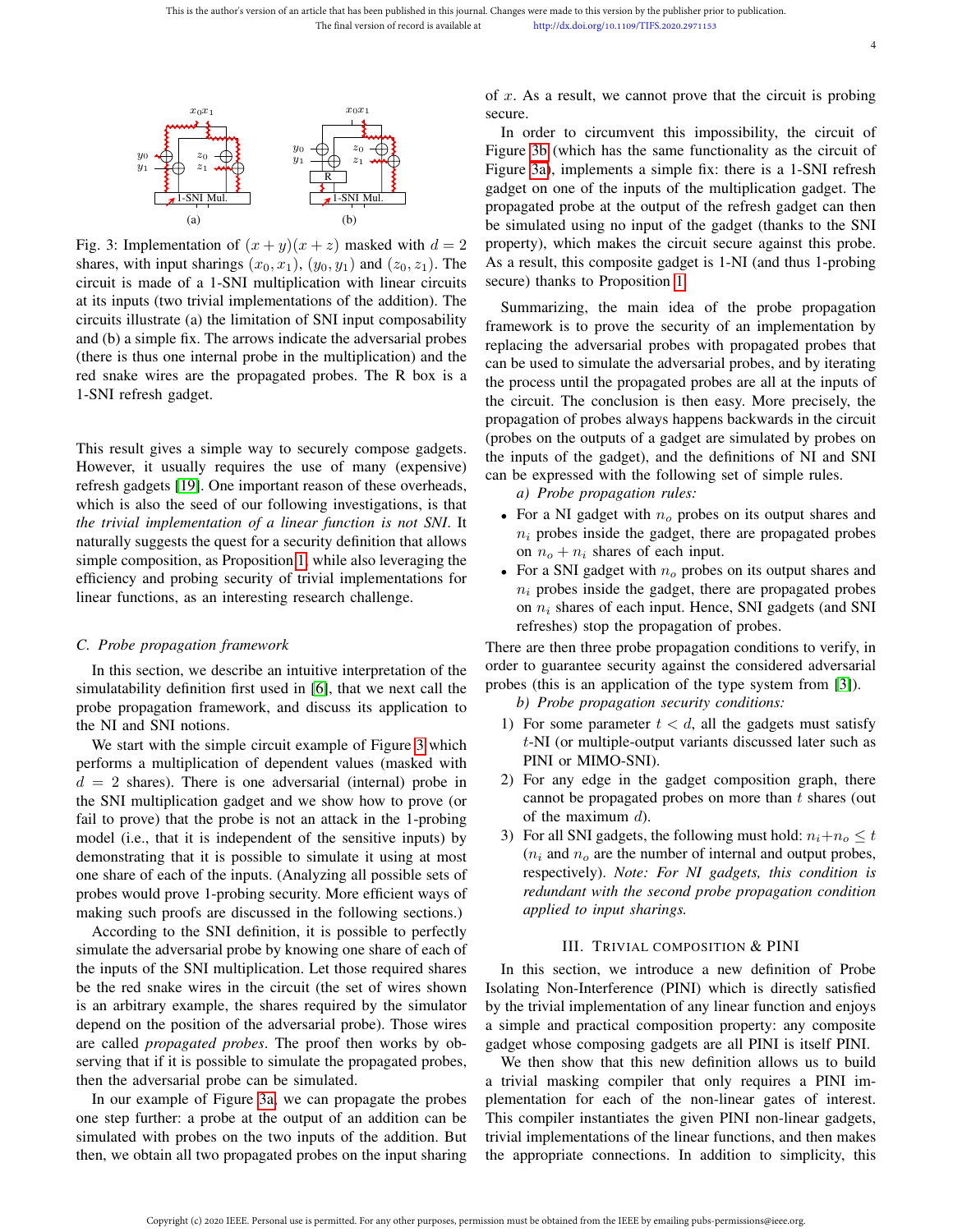

Fig. 3: Implementation of  $(x + y)(x + z)$  masked with  $d = 2$ shares, with input sharings  $(x_0, x_1)$ ,  $(y_0, y_1)$  and  $(z_0, z_1)$ . The circuit is made of a 1-SNI multiplication with linear circuits at its inputs (two trivial implementations of the addition). The circuits illustrate (a) the limitation of SNI input composability and (b) a simple fix. The arrows indicate the adversarial probes (there is thus one internal probe in the multiplication) and the red snake wires are the propagated probes. The R box is a 1-SNI refresh gadget.

This result gives a simple way to securely compose gadgets. However, it usually requires the use of many (expensive) refresh gadgets [19]. One important reason of these overheads, which is also the seed of our following investigations, is that *the trivial implementation of a linear function is not SNI*. It naturally suggests the quest for a security definition that allows simple composition, as Proposition 1, while also leveraging the efficiency and probing security of trivial implementations for linear functions, as an interesting research challenge.

## *C. Probe propagation framework*

In this section, we describe an intuitive interpretation of the simulatability definition first used in [6], that we next call the probe propagation framework, and discuss its application to the NI and SNI notions.

We start with the simple circuit example of Figure 3 which performs a multiplication of dependent values (masked with  $d = 2$  shares). There is one adversarial (internal) probe in the SNI multiplication gadget and we show how to prove (or fail to prove) that the probe is not an attack in the 1-probing model (i.e., that it is independent of the sensitive inputs) by demonstrating that it is possible to simulate it using at most one share of each of the inputs. (Analyzing all possible sets of probes would prove 1-probing security. More efficient ways of making such proofs are discussed in the following sections.)

According to the SNI definition, it is possible to perfectly simulate the adversarial probe by knowing one share of each of the inputs of the SNI multiplication. Let those required shares be the red snake wires in the circuit (the set of wires shown is an arbitrary example, the shares required by the simulator depend on the position of the adversarial probe). Those wires are called *propagated probes*. The proof then works by observing that if it is possible to simulate the propagated probes, then the adversarial probe can be simulated.

In our example of Figure 3a, we can propagate the probes one step further: a probe at the output of an addition can be simulated with probes on the two inputs of the addition. But then, we obtain all two propagated probes on the input sharing of  $x$ . As a result, we cannot prove that the circuit is probing secure.

In order to circumvent this impossibility, the circuit of Figure 3b (which has the same functionality as the circuit of Figure 3a), implements a simple fix: there is a 1-SNI refresh gadget on one of the inputs of the multiplication gadget. The propagated probe at the output of the refresh gadget can then be simulated using no input of the gadget (thanks to the SNI property), which makes the circuit secure against this probe. As a result, this composite gadget is 1-NI (and thus 1-probing secure) thanks to Proposition 1.

Summarizing, the main idea of the probe propagation framework is to prove the security of an implementation by replacing the adversarial probes with propagated probes that can be used to simulate the adversarial probes, and by iterating the process until the propagated probes are all at the inputs of the circuit. The conclusion is then easy. More precisely, the propagation of probes always happens backwards in the circuit (probes on the outputs of a gadget are simulated by probes on the inputs of the gadget), and the definitions of NI and SNI can be expressed with the following set of simple rules.

*a) Probe propagation rules:*

- For a NI gadget with  $n<sub>o</sub>$  probes on its output shares and  $n_i$  probes inside the gadget, there are propagated probes on  $n_o + n_i$  shares of each input.
- For a SNI gadget with  $n<sub>o</sub>$  probes on its output shares and  $n_i$  probes inside the gadget, there are propagated probes on  $n_i$  shares of each input. Hence, SNI gadgets (and SNI refreshes) stop the propagation of probes.

There are then three probe propagation conditions to verify, in order to guarantee security against the considered adversarial probes (this is an application of the type system from [3]).

*b) Probe propagation security conditions:*

- 1) For some parameter  $t < d$ , all the gadgets must satisfy t-NI (or multiple-output variants discussed later such as PINI or MIMO-SNI).
- 2) For any edge in the gadget composition graph, there cannot be propagated probes on more than  $t$  shares (out of the maximum  $d$ ).
- 3) For all SNI gadgets, the following must hold:  $n_i+n_o \leq t$  $(n_i$  and  $n_o$  are the number of internal and output probes, respectively). *Note: For NI gadgets, this condition is redundant with the second probe propagation condition applied to input sharings.*

## III. TRIVIAL COMPOSITION & PINI

In this section, we introduce a new definition of Probe Isolating Non-Interference (PINI) which is directly satisfied by the trivial implementation of any linear function and enjoys a simple and practical composition property: any composite gadget whose composing gadgets are all PINI is itself PINI.

We then show that this new definition allows us to build a trivial masking compiler that only requires a PINI implementation for each of the non-linear gates of interest. This compiler instantiates the given PINI non-linear gadgets, trivial implementations of the linear functions, and then makes the appropriate connections. In addition to simplicity, this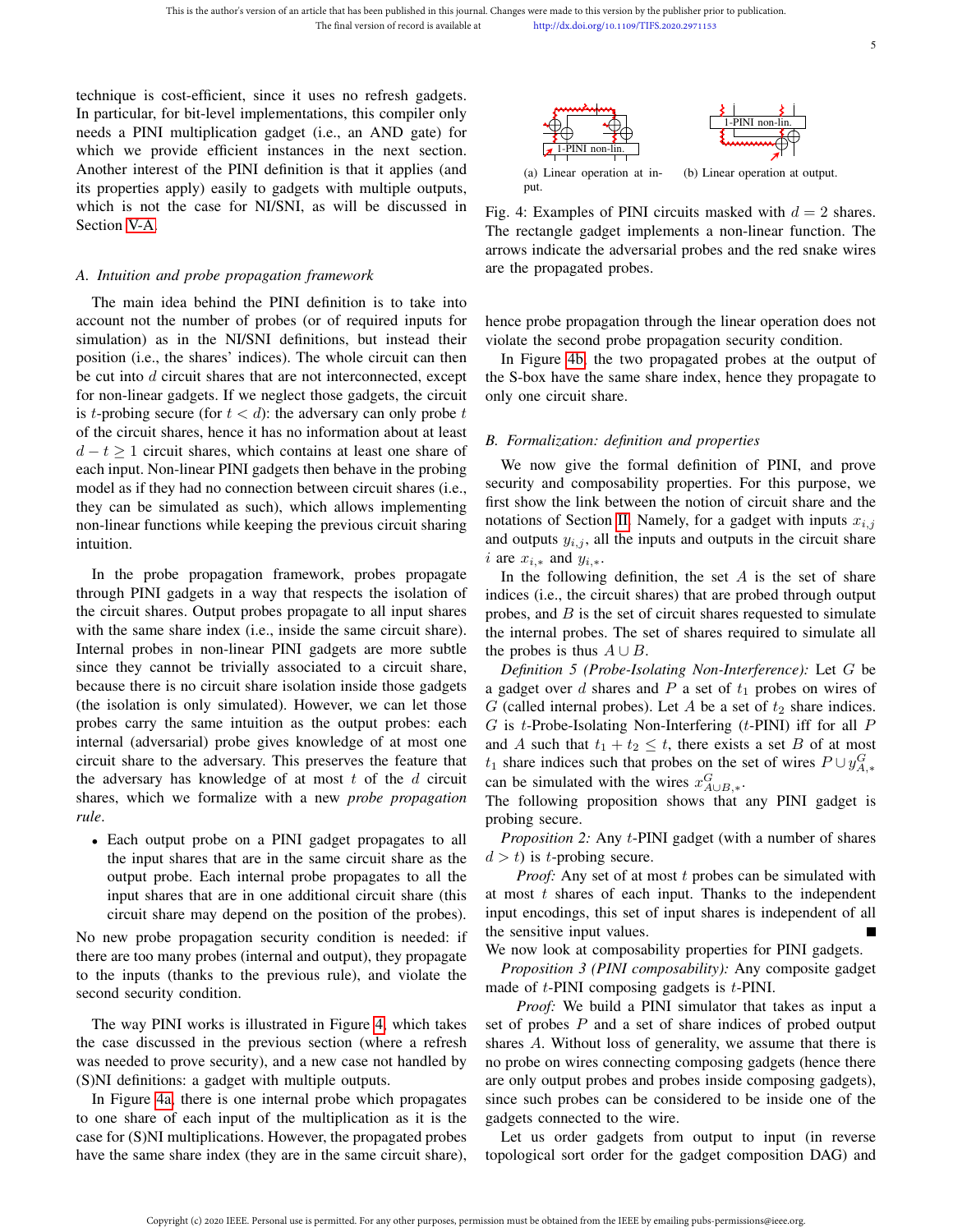technique is cost-efficient, since it uses no refresh gadgets. In particular, for bit-level implementations, this compiler only needs a PINI multiplication gadget (i.e., an AND gate) for which we provide efficient instances in the next section. Another interest of the PINI definition is that it applies (and its properties apply) easily to gadgets with multiple outputs, which is not the case for NI/SNI, as will be discussed in Section V-A.

## *A. Intuition and probe propagation framework*

The main idea behind the PINI definition is to take into account not the number of probes (or of required inputs for simulation) as in the NI/SNI definitions, but instead their position (i.e., the shares' indices). The whole circuit can then be cut into  $d$  circuit shares that are not interconnected, except for non-linear gadgets. If we neglect those gadgets, the circuit is t-probing secure (for  $t < d$ ): the adversary can only probe t of the circuit shares, hence it has no information about at least  $d - t > 1$  circuit shares, which contains at least one share of each input. Non-linear PINI gadgets then behave in the probing model as if they had no connection between circuit shares (i.e., they can be simulated as such), which allows implementing non-linear functions while keeping the previous circuit sharing intuition.

In the probe propagation framework, probes propagate through PINI gadgets in a way that respects the isolation of the circuit shares. Output probes propagate to all input shares with the same share index (i.e., inside the same circuit share). Internal probes in non-linear PINI gadgets are more subtle since they cannot be trivially associated to a circuit share, because there is no circuit share isolation inside those gadgets (the isolation is only simulated). However, we can let those probes carry the same intuition as the output probes: each internal (adversarial) probe gives knowledge of at most one circuit share to the adversary. This preserves the feature that the adversary has knowledge of at most  $t$  of the  $d$  circuit shares, which we formalize with a new *probe propagation rule*.

• Each output probe on a PINI gadget propagates to all the input shares that are in the same circuit share as the output probe. Each internal probe propagates to all the input shares that are in one additional circuit share (this circuit share may depend on the position of the probes).

No new probe propagation security condition is needed: if there are too many probes (internal and output), they propagate to the inputs (thanks to the previous rule), and violate the second security condition.

The way PINI works is illustrated in Figure 4, which takes the case discussed in the previous section (where a refresh was needed to prove security), and a new case not handled by (S)NI definitions: a gadget with multiple outputs.

In Figure 4a, there is one internal probe which propagates to one share of each input of the multiplication as it is the case for (S)NI multiplications. However, the propagated probes have the same share index (they are in the same circuit share),



(a) Linear operation at input. (b) Linear operation at output.

Fig. 4: Examples of PINI circuits masked with  $d = 2$  shares. The rectangle gadget implements a non-linear function. The arrows indicate the adversarial probes and the red snake wires are the propagated probes.

hence probe propagation through the linear operation does not violate the second probe propagation security condition.

In Figure 4b, the two propagated probes at the output of the S-box have the same share index, hence they propagate to only one circuit share.

## *B. Formalization: definition and properties*

We now give the formal definition of PINI, and prove security and composability properties. For this purpose, we first show the link between the notion of circuit share and the notations of Section II. Namely, for a gadget with inputs  $x_{i,j}$ and outputs  $y_{i,j}$ , all the inputs and outputs in the circuit share i are  $x_{i,*}$  and  $y_{i,*}$ .

In the following definition, the set  $A$  is the set of share indices (i.e., the circuit shares) that are probed through output probes, and  $B$  is the set of circuit shares requested to simulate the internal probes. The set of shares required to simulate all the probes is thus  $A \cup B$ .

*Definition 5 (Probe-Isolating Non-Interference):* Let G be a gadget over d shares and P a set of  $t_1$  probes on wires of G (called internal probes). Let A be a set of  $t_2$  share indices.  $G$  is t-Probe-Isolating Non-Interfering (t-PINI) iff for all  $P$ and A such that  $t_1 + t_2 \leq t$ , there exists a set B of at most  $t_1$  share indices such that probes on the set of wires  $P \cup y_{A,*}^G$ can be simulated with the wires  $x_{A\cup B,*}^G$ .

The following proposition shows that any PINI gadget is probing secure.

*Proposition 2:* Any t-PINI gadget (with a number of shares  $d > t$ ) is t-probing secure.

*Proof:* Any set of at most t probes can be simulated with at most t shares of each input. Thanks to the independent input encodings, this set of input shares is independent of all the sensitive input values.

We now look at composability properties for PINI gadgets.

*Proposition 3 (PINI composability):* Any composite gadget made of t-PINI composing gadgets is t-PINI.

*Proof:* We build a PINI simulator that takes as input a set of probes  $P$  and a set of share indices of probed output shares A. Without loss of generality, we assume that there is no probe on wires connecting composing gadgets (hence there are only output probes and probes inside composing gadgets), since such probes can be considered to be inside one of the gadgets connected to the wire.

Let us order gadgets from output to input (in reverse topological sort order for the gadget composition DAG) and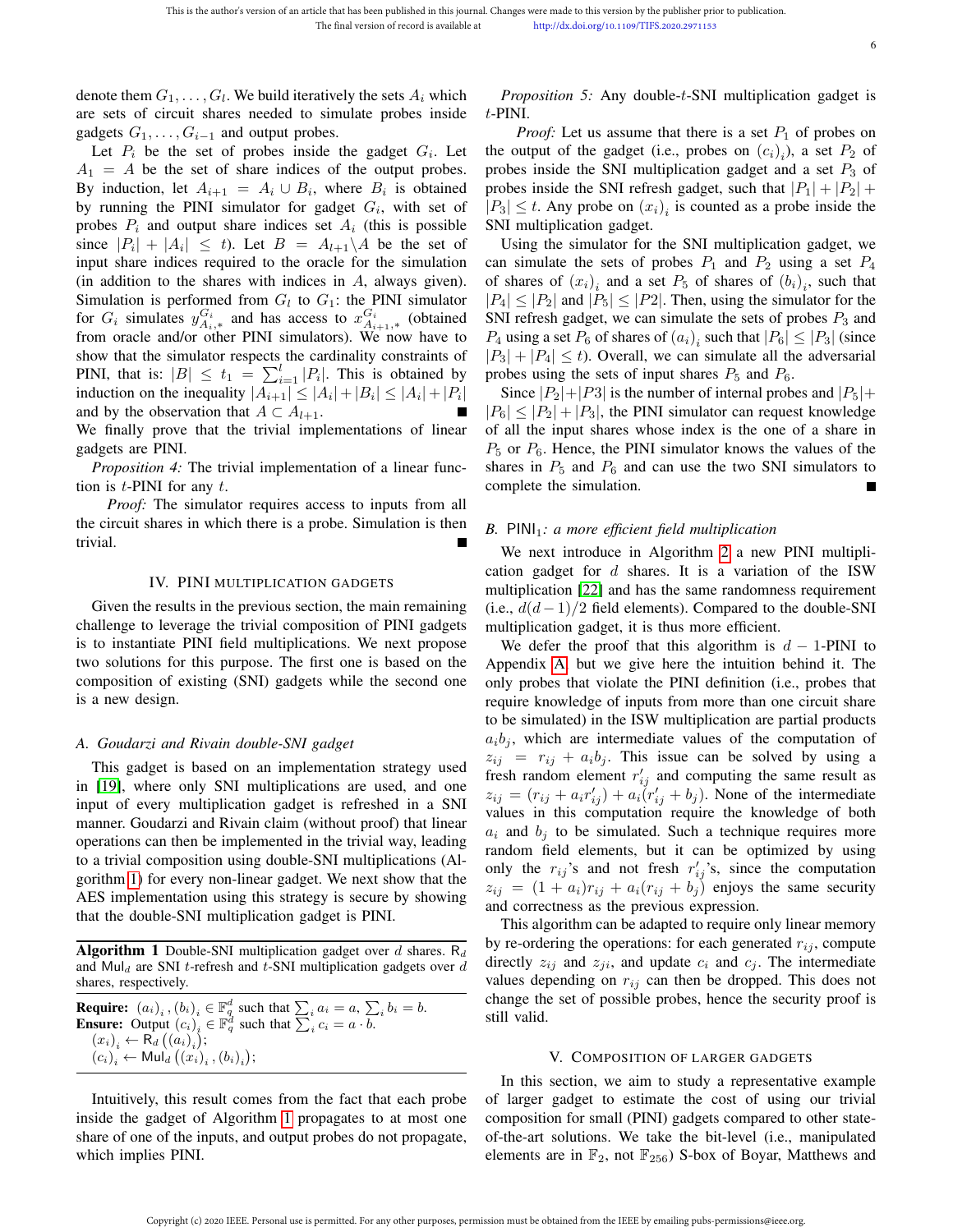denote them  $G_1, \ldots, G_l$ . We build iteratively the sets  $A_i$  which are sets of circuit shares needed to simulate probes inside gadgets  $G_1, \ldots, G_{i-1}$  and output probes.

Let  $P_i$  be the set of probes inside the gadget  $G_i$ . Let  $A_1 = A$  be the set of share indices of the output probes. By induction, let  $A_{i+1} = A_i \cup B_i$ , where  $B_i$  is obtained by running the PINI simulator for gadget  $G_i$ , with set of probes  $P_i$  and output share indices set  $A_i$  (this is possible since  $|P_i| + |A_i| \leq t$ . Let  $B = A_{l+1} \setminus A$  be the set of input share indices required to the oracle for the simulation (in addition to the shares with indices in  $A$ , always given). Simulation is performed from  $G_l$  to  $G_1$ : the PINI simulator for  $G_i$  simulates  $y_{A_i,*}^{G_i}$  and has access to  $x_{A_{i+1,*}}^{G_i}$  (obtained from oracle and/or other PINI simulators). We now have to show that the simulator respects the cardinality constraints of PINI, that is:  $|B| \le t_1 = \sum_{i=1}^l |P_i|$ . This is obtained by induction on the inequality  $|A_{i+1}| \leq |A_i| + |B_i| \leq |A_i| + |P_i|$ and by the observation that  $A \subset A_{l+1}$ .

We finally prove that the trivial implementations of linear gadgets are PINI.

*Proposition 4:* The trivial implementation of a linear function is  $t$ -PINI for any  $t$ .

*Proof:* The simulator requires access to inputs from all the circuit shares in which there is a probe. Simulation is then trivial.

## IV. PINI MULTIPLICATION GADGETS

Given the results in the previous section, the main remaining challenge to leverage the trivial composition of PINI gadgets is to instantiate PINI field multiplications. We next propose two solutions for this purpose. The first one is based on the composition of existing (SNI) gadgets while the second one is a new design.

## *A. Goudarzi and Rivain double-SNI gadget*

This gadget is based on an implementation strategy used in [19], where only SNI multiplications are used, and one input of every multiplication gadget is refreshed in a SNI manner. Goudarzi and Rivain claim (without proof) that linear operations can then be implemented in the trivial way, leading to a trivial composition using double-SNI multiplications (Algorithm 1) for every non-linear gadget. We next show that the AES implementation using this strategy is secure by showing that the double-SNI multiplication gadget is PINI.

**Algorithm 1** Double-SNI multiplication gadget over  $d$  shares.  $R_d$ and  $Mul<sub>d</sub>$  are SNI t-refresh and t-SNI multiplication gadgets over  $d$ shares, respectively.

**Require:**  $(a_i)_i$ ,  $(b_i)_i \in \mathbb{F}_q^d$  such that  $\sum_i a_i = a$ ,  $\sum_i b_i = b$ . **Ensure:** Output  $(c_i)_i \in \mathbb{F}_q^d$  such that  $\sum_i^{\infty} c_i = a \cdot \overline{b}$ .  $(x_i)_i \leftarrow \mathsf{R}_d\left(\left(a_i\right)_i\right);$  $(c_i)_i \leftarrow \text{Mul}_d ((x_i)_i, (b_i)_i);$ 

Intuitively, this result comes from the fact that each probe inside the gadget of Algorithm 1 propagates to at most one share of one of the inputs, and output probes do not propagate, which implies PINI.

*Proposition 5:* Any double-t-SNI multiplication gadget is t-PINI.

*Proof:* Let us assume that there is a set  $P_1$  of probes on the output of the gadget (i.e., probes on  $(c_i)_i$ ), a set  $P_2$  of probes inside the SNI multiplication gadget and a set  $P_3$  of probes inside the SNI refresh gadget, such that  $|P_1| + |P_2| +$  $|P_3| \leq t$ . Any probe on  $(x_i)_i$  is counted as a probe inside the SNI multiplication gadget.

Using the simulator for the SNI multiplication gadget, we can simulate the sets of probes  $P_1$  and  $P_2$  using a set  $P_4$ of shares of  $(x_i)_i$  and a set  $P_5$  of shares of  $(b_i)_i$ , such that  $|P_4| \leq |P_2|$  and  $|P_5| \leq |P_2|$ . Then, using the simulator for the SNI refresh gadget, we can simulate the sets of probes  $P_3$  and  $P_4$  using a set  $P_6$  of shares of  $(a_i)_i$  such that  $|P_6| \leq |P_3|$  (since  $|P_3| + |P_4| \le t$ ). Overall, we can simulate all the adversarial probes using the sets of input shares  $P_5$  and  $P_6$ .

Since  $|P_2|+|P_3|$  is the number of internal probes and  $|P_5|+$  $|P_6| \leq |P_2| + |P_3|$ , the PINI simulator can request knowledge of all the input shares whose index is the one of a share in  $P_5$  or  $P_6$ . Hence, the PINI simulator knows the values of the shares in  $P_5$  and  $P_6$  and can use the two SNI simulators to complete the simulation.

## *B.* PINI<sub>1</sub>*: a more efficient field multiplication*

We next introduce in Algorithm 2 a new PINI multiplication gadget for  $d$  shares. It is a variation of the ISW multiplication [22] and has the same randomness requirement (i.e.,  $d(d-1)/2$  field elements). Compared to the double-SNI multiplication gadget, it is thus more efficient.

We defer the proof that this algorithm is  $d - 1$ -PINI to Appendix A, but we give here the intuition behind it. The only probes that violate the PINI definition (i.e., probes that require knowledge of inputs from more than one circuit share to be simulated) in the ISW multiplication are partial products  $a_i b_i$ , which are intermediate values of the computation of  $z_{ij} = r_{ij} + a_i b_j$ . This issue can be solved by using a fresh random element  $r'_{ij}$  and computing the same result as  $z_{ij} = (r_{ij} + a_i r'_{ij}) + a_i (r'_{ij} + b_j)$ . None of the intermediate values in this computation require the knowledge of both  $a_i$  and  $b_j$  to be simulated. Such a technique requires more random field elements, but it can be optimized by using only the  $r_{ij}$ 's and not fresh  $r'_{ij}$ 's, since the computation  $z_{ij} = (1 + a_i)r_{ij} + a_i(r_{ij} + b_j)$  enjoys the same security and correctness as the previous expression.

This algorithm can be adapted to require only linear memory by re-ordering the operations: for each generated  $r_{ij}$ , compute directly  $z_{ij}$  and  $z_{ji}$ , and update  $c_i$  and  $c_j$ . The intermediate values depending on  $r_{ij}$  can then be dropped. This does not change the set of possible probes, hence the security proof is still valid.

#### V. COMPOSITION OF LARGER GADGETS

In this section, we aim to study a representative example of larger gadget to estimate the cost of using our trivial composition for small (PINI) gadgets compared to other stateof-the-art solutions. We take the bit-level (i.e., manipulated elements are in  $\mathbb{F}_2$ , not  $\mathbb{F}_{256}$ ) S-box of Boyar, Matthews and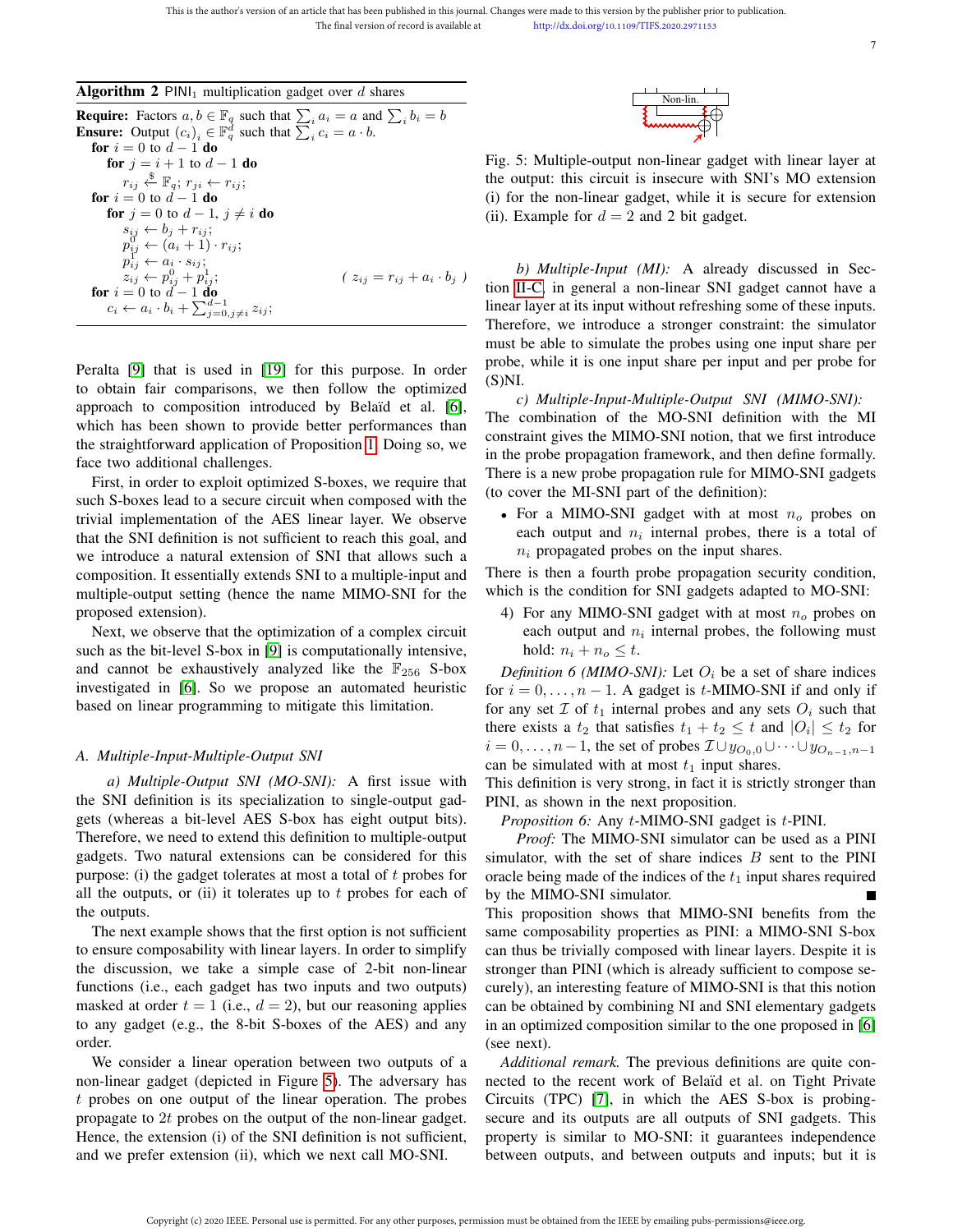|  |  |  | <b>Algorithm 2</b> $PINI_1$ multiplication gadget over d shares |  |  |  |  |
|--|--|--|-----------------------------------------------------------------|--|--|--|--|
|--|--|--|-----------------------------------------------------------------|--|--|--|--|

**Require:** Factors  $a, b \in \mathbb{F}_q$  such that  $\sum_i a_i = a$  and  $\sum_i b_i = b$ **Ensure:** Output  $(c_i)_i \in \mathbb{F}_q^d$  such that  $\sum_i^{\infty} c_i = a \cdot b$ . for  $i = 0$  to  $d - 1$  do **for**  $j = i + 1$  to  $d - 1$  **do**  $r_{ij} \overset{\$}{\leftarrow} \mathbb{F}_q$ ;  $r_{ji} \leftarrow r_{ij}$ ; for  $i = 0$  to  $\vec{d} - 1$  do for  $j = 0$  to  $d - 1$ ,  $j \neq i$  do  $s_{ij} \leftarrow b_j + r_{ij};$  $p_{ij}^0 \leftarrow (a_i + 1) \cdot r_{ij};$  $p_{ij}^1 \leftarrow a_i \cdot s_{ij};$  $z_{ij} \leftarrow p_{ij}^0 + p_{i}^1$  $(z_{ij} = r_{ij} + a_i \cdot b_j)$ for  $i = 0$  to  $d - 1$  do  $c_i \leftarrow a_i \cdot b_i + \sum_{j=0, j\neq i}^{d-1} z_{ij};$ 

Peralta [9] that is used in [19] for this purpose. In order to obtain fair comparisons, we then follow the optimized approach to composition introduced by Belaïd et al. [6], which has been shown to provide better performances than the straightforward application of Proposition 1. Doing so, we face two additional challenges.

First, in order to exploit optimized S-boxes, we require that such S-boxes lead to a secure circuit when composed with the trivial implementation of the AES linear layer. We observe that the SNI definition is not sufficient to reach this goal, and we introduce a natural extension of SNI that allows such a composition. It essentially extends SNI to a multiple-input and multiple-output setting (hence the name MIMO-SNI for the proposed extension).

Next, we observe that the optimization of a complex circuit such as the bit-level S-box in [9] is computationally intensive, and cannot be exhaustively analyzed like the  $\mathbb{F}_{256}$  S-box investigated in [6]. So we propose an automated heuristic based on linear programming to mitigate this limitation.

#### *A. Multiple-Input-Multiple-Output SNI*

*a) Multiple-Output SNI (MO-SNI):* A first issue with the SNI definition is its specialization to single-output gadgets (whereas a bit-level AES S-box has eight output bits). Therefore, we need to extend this definition to multiple-output gadgets. Two natural extensions can be considered for this purpose: (i) the gadget tolerates at most a total of  $t$  probes for all the outputs, or (ii) it tolerates up to  $t$  probes for each of the outputs.

The next example shows that the first option is not sufficient to ensure composability with linear layers. In order to simplify the discussion, we take a simple case of 2-bit non-linear functions (i.e., each gadget has two inputs and two outputs) masked at order  $t = 1$  (i.e.,  $d = 2$ ), but our reasoning applies to any gadget (e.g., the 8-bit S-boxes of the AES) and any order.

We consider a linear operation between two outputs of a non-linear gadget (depicted in Figure 5). The adversary has t probes on one output of the linear operation. The probes propagate to 2t probes on the output of the non-linear gadget. Hence, the extension (i) of the SNI definition is not sufficient, and we prefer extension (ii), which we next call MO-SNI.



Fig. 5: Multiple-output non-linear gadget with linear layer at the output: this circuit is insecure with SNI's MO extension (i) for the non-linear gadget, while it is secure for extension (ii). Example for  $d = 2$  and 2 bit gadget.

*b) Multiple-Input (MI):* A already discussed in Section II-C, in general a non-linear SNI gadget cannot have a linear layer at its input without refreshing some of these inputs. Therefore, we introduce a stronger constraint: the simulator must be able to simulate the probes using one input share per probe, while it is one input share per input and per probe for  $(S)$ NI.

*c) Multiple-Input-Multiple-Output SNI (MIMO-SNI):* The combination of the MO-SNI definition with the MI constraint gives the MIMO-SNI notion, that we first introduce in the probe propagation framework, and then define formally. There is a new probe propagation rule for MIMO-SNI gadgets (to cover the MI-SNI part of the definition):

• For a MIMO-SNI gadget with at most  $n<sub>o</sub>$  probes on each output and  $n_i$  internal probes, there is a total of  $n_i$  propagated probes on the input shares.

There is then a fourth probe propagation security condition, which is the condition for SNI gadgets adapted to MO-SNI:

4) For any MIMO-SNI gadget with at most  $n<sub>o</sub>$  probes on each output and  $n_i$  internal probes, the following must hold:  $n_i + n_o \leq t$ .

*Definition 6 (MIMO-SNI):* Let  $O_i$  be a set of share indices for  $i = 0, \ldots, n - 1$ . A gadget is t-MIMO-SNI if and only if for any set  $\mathcal I$  of  $t_1$  internal probes and any sets  $O_i$  such that there exists a  $t_2$  that satisfies  $t_1 + t_2 \leq t$  and  $|O_i| \leq t_2$  for  $i = 0, \ldots, n-1$ , the set of probes  $\mathcal{I} \cup y_{O_0,0} \cup \cdots \cup y_{O_{n-1},n-1}$ can be simulated with at most  $t_1$  input shares.

This definition is very strong, in fact it is strictly stronger than PINI, as shown in the next proposition.

*Proposition 6:* Any t-MIMO-SNI gadget is t-PINI.

*Proof:* The MIMO-SNI simulator can be used as a PINI simulator, with the set of share indices  $B$  sent to the PINI oracle being made of the indices of the  $t_1$  input shares required by the MIMO-SNI simulator.

This proposition shows that MIMO-SNI benefits from the same composability properties as PINI: a MIMO-SNI S-box can thus be trivially composed with linear layers. Despite it is stronger than PINI (which is already sufficient to compose securely), an interesting feature of MIMO-SNI is that this notion can be obtained by combining NI and SNI elementary gadgets in an optimized composition similar to the one proposed in [6] (see next).

*Additional remark.* The previous definitions are quite connected to the recent work of Belaïd et al. on Tight Private Circuits (TPC) [7], in which the AES S-box is probingsecure and its outputs are all outputs of SNI gadgets. This property is similar to MO-SNI: it guarantees independence between outputs, and between outputs and inputs; but it is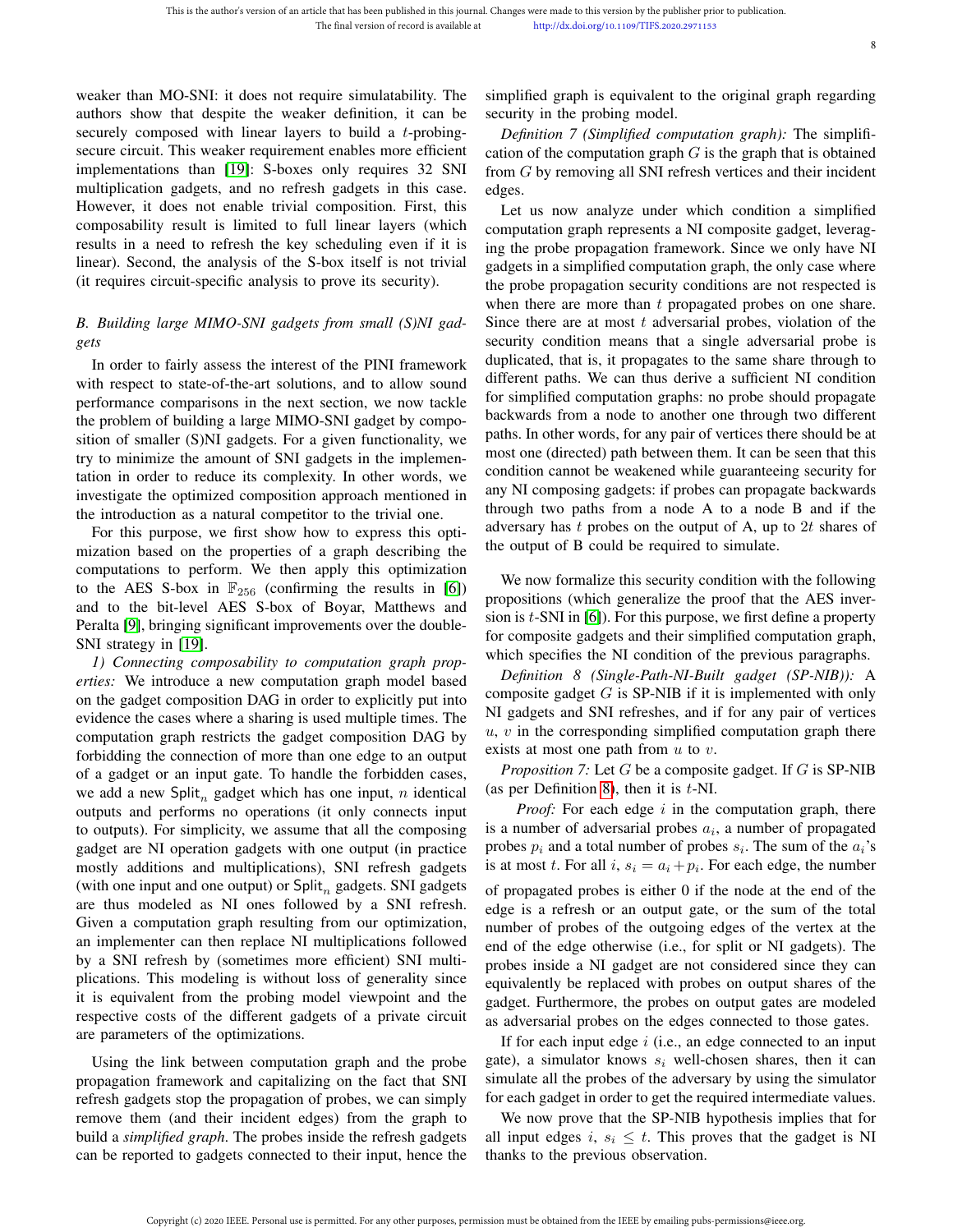weaker than MO-SNI: it does not require simulatability. The authors show that despite the weaker definition, it can be securely composed with linear layers to build a *t*-probingsecure circuit. This weaker requirement enables more efficient implementations than [19]: S-boxes only requires 32 SNI multiplication gadgets, and no refresh gadgets in this case. However, it does not enable trivial composition. First, this composability result is limited to full linear layers (which results in a need to refresh the key scheduling even if it is linear). Second, the analysis of the S-box itself is not trivial (it requires circuit-specific analysis to prove its security).

## *B. Building large MIMO-SNI gadgets from small (S)NI gadgets*

In order to fairly assess the interest of the PINI framework with respect to state-of-the-art solutions, and to allow sound performance comparisons in the next section, we now tackle the problem of building a large MIMO-SNI gadget by composition of smaller (S)NI gadgets. For a given functionality, we try to minimize the amount of SNI gadgets in the implementation in order to reduce its complexity. In other words, we investigate the optimized composition approach mentioned in the introduction as a natural competitor to the trivial one.

For this purpose, we first show how to express this optimization based on the properties of a graph describing the computations to perform. We then apply this optimization to the AES S-box in  $\mathbb{F}_{256}$  (confirming the results in [6]) and to the bit-level AES S-box of Boyar, Matthews and Peralta [9], bringing significant improvements over the double-SNI strategy in [19].

*1) Connecting composability to computation graph properties:* We introduce a new computation graph model based on the gadget composition DAG in order to explicitly put into evidence the cases where a sharing is used multiple times. The computation graph restricts the gadget composition DAG by forbidding the connection of more than one edge to an output of a gadget or an input gate. To handle the forbidden cases, we add a new Split<sub>n</sub> gadget which has one input, n identical outputs and performs no operations (it only connects input to outputs). For simplicity, we assume that all the composing gadget are NI operation gadgets with one output (in practice mostly additions and multiplications), SNI refresh gadgets (with one input and one output) or  $\text{Split}_n$  gadgets. SNI gadgets are thus modeled as NI ones followed by a SNI refresh. Given a computation graph resulting from our optimization, an implementer can then replace NI multiplications followed by a SNI refresh by (sometimes more efficient) SNI multiplications. This modeling is without loss of generality since it is equivalent from the probing model viewpoint and the respective costs of the different gadgets of a private circuit are parameters of the optimizations.

Using the link between computation graph and the probe propagation framework and capitalizing on the fact that SNI refresh gadgets stop the propagation of probes, we can simply remove them (and their incident edges) from the graph to build a *simplified graph*. The probes inside the refresh gadgets can be reported to gadgets connected to their input, hence the simplified graph is equivalent to the original graph regarding security in the probing model.

*Definition 7 (Simplified computation graph):* The simplification of the computation graph  $G$  is the graph that is obtained from G by removing all SNI refresh vertices and their incident edges.

Let us now analyze under which condition a simplified computation graph represents a NI composite gadget, leveraging the probe propagation framework. Since we only have NI gadgets in a simplified computation graph, the only case where the probe propagation security conditions are not respected is when there are more than  $t$  propagated probes on one share. Since there are at most  $t$  adversarial probes, violation of the security condition means that a single adversarial probe is duplicated, that is, it propagates to the same share through to different paths. We can thus derive a sufficient NI condition for simplified computation graphs: no probe should propagate backwards from a node to another one through two different paths. In other words, for any pair of vertices there should be at most one (directed) path between them. It can be seen that this condition cannot be weakened while guaranteeing security for any NI composing gadgets: if probes can propagate backwards through two paths from a node A to a node B and if the adversary has  $t$  probes on the output of A, up to  $2t$  shares of the output of B could be required to simulate.

We now formalize this security condition with the following propositions (which generalize the proof that the AES inversion is t-SNI in [6]). For this purpose, we first define a property for composite gadgets and their simplified computation graph, which specifies the NI condition of the previous paragraphs.

*Definition 8 (Single-Path-NI-Built gadget (SP-NIB)):* A composite gadget  $G$  is SP-NIB if it is implemented with only NI gadgets and SNI refreshes, and if for any pair of vertices  $u, v$  in the corresponding simplified computation graph there exists at most one path from  $u$  to  $v$ .

*Proposition 7:* Let G be a composite gadget. If G is SP-NIB (as per Definition 8), then it is  $t$ -NI.

*Proof:* For each edge i in the computation graph, there is a number of adversarial probes  $a_i$ , a number of propagated probes  $p_i$  and a total number of probes  $s_i$ . The sum of the  $a_i$ 's is at most t. For all i,  $s_i = a_i + p_i$ . For each edge, the number of propagated probes is either 0 if the node at the end of the edge is a refresh or an output gate, or the sum of the total number of probes of the outgoing edges of the vertex at the end of the edge otherwise (i.e., for split or NI gadgets). The probes inside a NI gadget are not considered since they can equivalently be replaced with probes on output shares of the gadget. Furthermore, the probes on output gates are modeled as adversarial probes on the edges connected to those gates.

If for each input edge  $i$  (i.e., an edge connected to an input gate), a simulator knows  $s_i$  well-chosen shares, then it can simulate all the probes of the adversary by using the simulator for each gadget in order to get the required intermediate values.

We now prove that the SP-NIB hypothesis implies that for all input edges i,  $s_i \leq t$ . This proves that the gadget is NI thanks to the previous observation.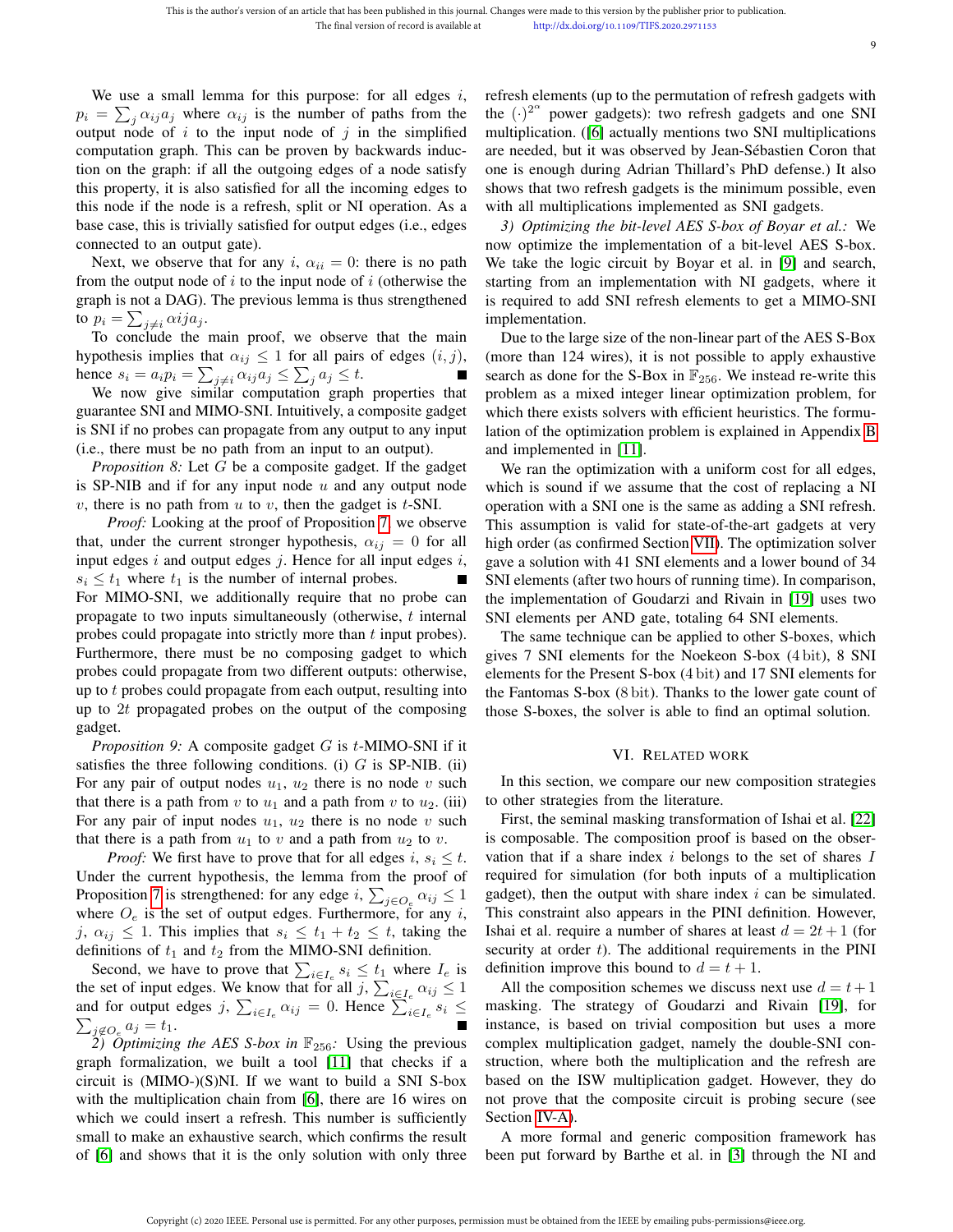9

We use a small lemma for this purpose: for all edges  $i$ ,  $p_i = \sum_j \alpha_{ij} a_j$  where  $\alpha_{ij}$  is the number of paths from the output node of  $i$  to the input node of  $j$  in the simplified computation graph. This can be proven by backwards induction on the graph: if all the outgoing edges of a node satisfy this property, it is also satisfied for all the incoming edges to this node if the node is a refresh, split or NI operation. As a base case, this is trivially satisfied for output edges (i.e., edges connected to an output gate).

Next, we observe that for any i,  $\alpha_{ii} = 0$ : there is no path from the output node of  $i$  to the input node of  $i$  (otherwise the graph is not a DAG). The previous lemma is thus strengthened to  $p_i = \sum_{j \neq i} \alpha i j a_j$ .

To conclude the main proof, we observe that the main hypothesis implies that  $\alpha_{ij} \leq 1$  for all pairs of edges  $(i, j)$ , hence  $s_i = a_i p_i = \sum_{j \neq i} \alpha_{ij} a_j \leq \sum_j a_j \leq t$ . Г

We now give similar computation graph properties that guarantee SNI and MIMO-SNI. Intuitively, a composite gadget is SNI if no probes can propagate from any output to any input (i.e., there must be no path from an input to an output).

*Proposition 8:* Let G be a composite gadget. If the gadget is SP-NIB and if for any input node  $u$  and any output node  $v$ , there is no path from  $u$  to  $v$ , then the gadget is  $t$ -SNI.

*Proof:* Looking at the proof of Proposition 7, we observe that, under the current stronger hypothesis,  $\alpha_{ij} = 0$  for all input edges  $i$  and output edges  $j$ . Hence for all input edges  $i$ ,  $s_i \leq t_1$  where  $t_1$  is the number of internal probes. For MIMO-SNI, we additionally require that no probe can propagate to two inputs simultaneously (otherwise,  $t$  internal probes could propagate into strictly more than t input probes). Furthermore, there must be no composing gadget to which probes could propagate from two different outputs: otherwise, up to  $t$  probes could propagate from each output, resulting into up to  $2t$  propagated probes on the output of the composing gadget.

*Proposition 9:* A composite gadget G is t-MIMO-SNI if it satisfies the three following conditions. (i)  $G$  is SP-NIB. (ii) For any pair of output nodes  $u_1$ ,  $u_2$  there is no node v such that there is a path from v to  $u_1$  and a path from v to  $u_2$ . (iii) For any pair of input nodes  $u_1$ ,  $u_2$  there is no node v such that there is a path from  $u_1$  to v and a path from  $u_2$  to v.

*Proof:* We first have to prove that for all edges i,  $s_i \leq t$ . Under the current hypothesis, the lemma from the proof of Proposition 7 is strengthened: for any edge  $i$ ,  $\sum_{j \in O_e} \alpha_{ij} \le 1$ where  $O_e$  is the set of output edges. Furthermore, for any i, j,  $\alpha_{ij} \leq 1$ . This implies that  $s_i \leq t_1 + t_2 \leq t$ , taking the definitions of  $t_1$  and  $t_2$  from the MIMO-SNI definition.

Second, we have to prove that  $\sum_{i \in I_e} s_i \leq \underline{t_1}$  where  $I_e$  is the set of input edges. We know that for all  $j$ ,  $\sum_{i \in I_e} \alpha_{ij} \leq 1$ and for output edges  $j$ ,  $\sum_{i \in I_e} \alpha_{ij} = 0$ . Hence  $\sum_{i \in I_e} s_i \le \sum_{i \in I_o} a_i = t_1$ .  $_{j\notin O_e} a_j = t_1.$ 

2) Optimizing the AES S-box in  $\mathbb{F}_{256}$ : Using the previous graph formalization, we built a tool [11] that checks if a circuit is (MIMO-)(S)NI. If we want to build a SNI S-box with the multiplication chain from [6], there are 16 wires on which we could insert a refresh. This number is sufficiently small to make an exhaustive search, which confirms the result of [6] and shows that it is the only solution with only three refresh elements (up to the permutation of refresh gadgets with the  $\left(\cdot\right)^{2^{\alpha}}$  power gadgets): two refresh gadgets and one SNI multiplication. ([6] actually mentions two SNI multiplications are needed, but it was observed by Jean-Sebastien Coron that ´ one is enough during Adrian Thillard's PhD defense.) It also shows that two refresh gadgets is the minimum possible, even with all multiplications implemented as SNI gadgets.

*3) Optimizing the bit-level AES S-box of Boyar et al.:* We now optimize the implementation of a bit-level AES S-box. We take the logic circuit by Boyar et al. in [9] and search, starting from an implementation with NI gadgets, where it is required to add SNI refresh elements to get a MIMO-SNI implementation.

Due to the large size of the non-linear part of the AES S-Box (more than 124 wires), it is not possible to apply exhaustive search as done for the S-Box in  $\mathbb{F}_{256}$ . We instead re-write this problem as a mixed integer linear optimization problem, for which there exists solvers with efficient heuristics. The formulation of the optimization problem is explained in Appendix B and implemented in [11].

We ran the optimization with a uniform cost for all edges, which is sound if we assume that the cost of replacing a NI operation with a SNI one is the same as adding a SNI refresh. This assumption is valid for state-of-the-art gadgets at very high order (as confirmed Section VII). The optimization solver gave a solution with 41 SNI elements and a lower bound of 34 SNI elements (after two hours of running time). In comparison, the implementation of Goudarzi and Rivain in [19] uses two SNI elements per AND gate, totaling 64 SNI elements.

The same technique can be applied to other S-boxes, which gives 7 SNI elements for the Noekeon S-box (4 bit), 8 SNI elements for the Present S-box (4 bit) and 17 SNI elements for the Fantomas S-box (8 bit). Thanks to the lower gate count of those S-boxes, the solver is able to find an optimal solution.

## VI. RELATED WORK

In this section, we compare our new composition strategies to other strategies from the literature.

First, the seminal masking transformation of Ishai et al. [22] is composable. The composition proof is based on the observation that if a share index  $i$  belongs to the set of shares  $I$ required for simulation (for both inputs of a multiplication gadget), then the output with share index  $i$  can be simulated. This constraint also appears in the PINI definition. However, Ishai et al. require a number of shares at least  $d = 2t + 1$  (for security at order  $t$ ). The additional requirements in the PINI definition improve this bound to  $d = t + 1$ .

All the composition schemes we discuss next use  $d = t + 1$ masking. The strategy of Goudarzi and Rivain [19], for instance, is based on trivial composition but uses a more complex multiplication gadget, namely the double-SNI construction, where both the multiplication and the refresh are based on the ISW multiplication gadget. However, they do not prove that the composite circuit is probing secure (see Section IV-A).

A more formal and generic composition framework has been put forward by Barthe et al. in [3] through the NI and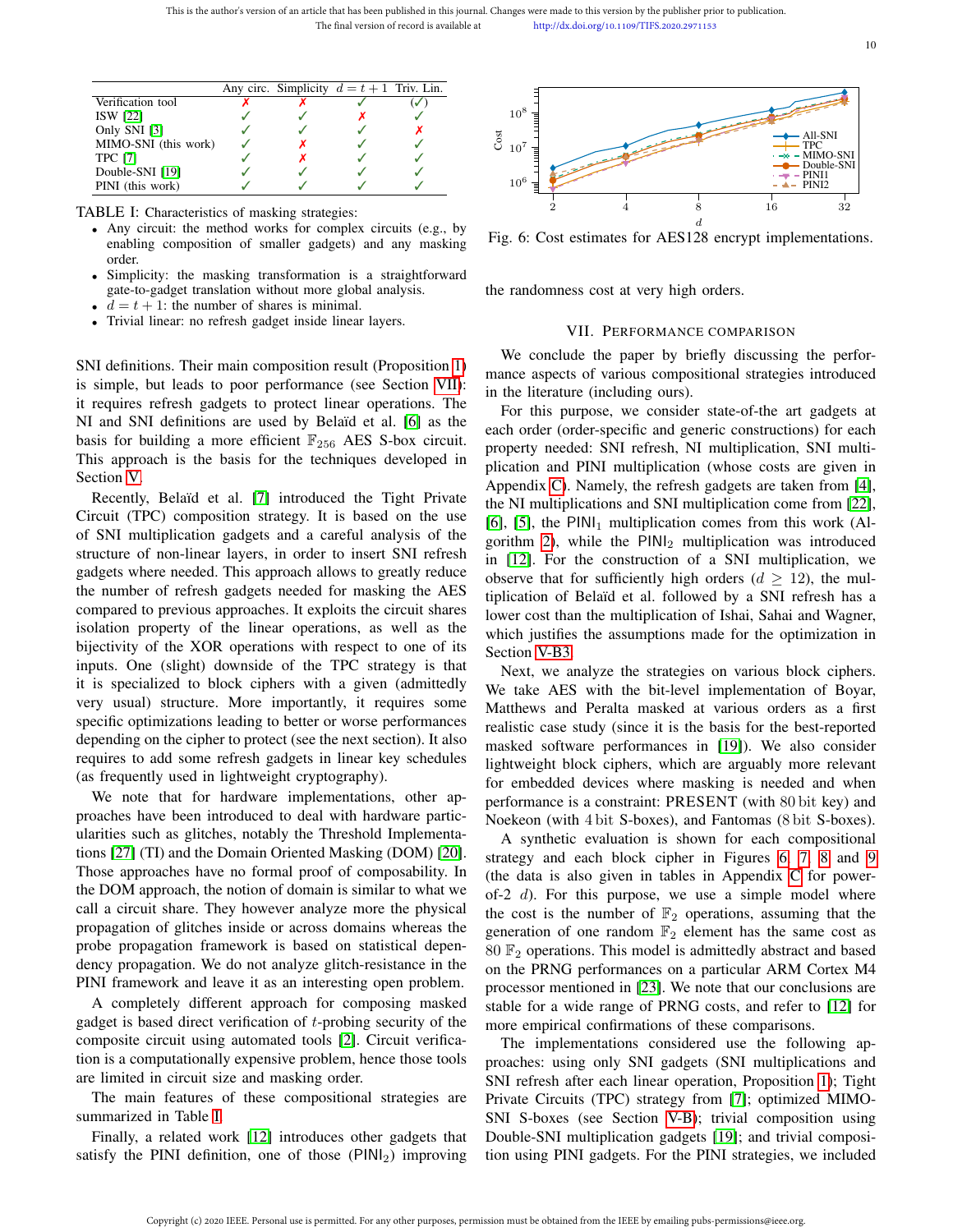|                      |  | Any circ. Simplicity $d = t + 1$ Triv. Lin. |  |
|----------------------|--|---------------------------------------------|--|
| Verification tool    |  |                                             |  |
| ISW [22]             |  |                                             |  |
| Only SNI [3]         |  |                                             |  |
| MIMO-SNI (this work) |  |                                             |  |
| <b>TPC [7]</b>       |  |                                             |  |
| Double-SNI [19]      |  |                                             |  |
| PINI (this work)     |  |                                             |  |

TABLE I: Characteristics of masking strategies:

- Any circuit: the method works for complex circuits (e.g., by enabling composition of smaller gadgets) and any masking order.
- Simplicity: the masking transformation is a straightforward gate-to-gadget translation without more global analysis.
- $d = t + 1$ : the number of shares is minimal.
- Trivial linear: no refresh gadget inside linear layers.

SNI definitions. Their main composition result (Proposition 1) is simple, but leads to poor performance (see Section VII): it requires refresh gadgets to protect linear operations. The NI and SNI definitions are used by Belaïd et al. [6] as the basis for building a more efficient  $\mathbb{F}_{256}$  AES S-box circuit. This approach is the basis for the techniques developed in Section V.

Recently, Belaïd et al. [7] introduced the Tight Private Circuit (TPC) composition strategy. It is based on the use of SNI multiplication gadgets and a careful analysis of the structure of non-linear layers, in order to insert SNI refresh gadgets where needed. This approach allows to greatly reduce the number of refresh gadgets needed for masking the AES compared to previous approaches. It exploits the circuit shares isolation property of the linear operations, as well as the bijectivity of the XOR operations with respect to one of its inputs. One (slight) downside of the TPC strategy is that it is specialized to block ciphers with a given (admittedly very usual) structure. More importantly, it requires some specific optimizations leading to better or worse performances depending on the cipher to protect (see the next section). It also requires to add some refresh gadgets in linear key schedules (as frequently used in lightweight cryptography).

We note that for hardware implementations, other approaches have been introduced to deal with hardware particularities such as glitches, notably the Threshold Implementations [27] (TI) and the Domain Oriented Masking (DOM) [20]. Those approaches have no formal proof of composability. In the DOM approach, the notion of domain is similar to what we call a circuit share. They however analyze more the physical propagation of glitches inside or across domains whereas the probe propagation framework is based on statistical dependency propagation. We do not analyze glitch-resistance in the PINI framework and leave it as an interesting open problem.

A completely different approach for composing masked gadget is based direct verification of t-probing security of the composite circuit using automated tools [2]. Circuit verification is a computationally expensive problem, hence those tools are limited in circuit size and masking order.

The main features of these compositional strategies are summarized in Table I.

Finally, a related work [12] introduces other gadgets that satisfy the PINI definition, one of those  $(PINI<sub>2</sub>)$  improving



Fig. 6: Cost estimates for AES128 encrypt implementations.

the randomness cost at very high orders.

## VII. PERFORMANCE COMPARISON

We conclude the paper by briefly discussing the performance aspects of various compositional strategies introduced in the literature (including ours).

For this purpose, we consider state-of-the art gadgets at each order (order-specific and generic constructions) for each property needed: SNI refresh, NI multiplication, SNI multiplication and PINI multiplication (whose costs are given in Appendix C). Namely, the refresh gadgets are taken from [4], the NI multiplications and SNI multiplication come from [22], [6], [5], the PINI<sub>1</sub> multiplication comes from this work (Algorithm 2), while the  $PINl<sub>2</sub>$  multiplication was introduced in [12]. For the construction of a SNI multiplication, we observe that for sufficiently high orders  $(d > 12)$ , the multiplication of Belaïd et al. followed by a SNI refresh has a lower cost than the multiplication of Ishai, Sahai and Wagner, which justifies the assumptions made for the optimization in Section V-B3.

Next, we analyze the strategies on various block ciphers. We take AES with the bit-level implementation of Boyar, Matthews and Peralta masked at various orders as a first realistic case study (since it is the basis for the best-reported masked software performances in [19]). We also consider lightweight block ciphers, which are arguably more relevant for embedded devices where masking is needed and when performance is a constraint: PRESENT (with 80 bit key) and Noekeon (with 4 bit S-boxes), and Fantomas (8 bit S-boxes).

A synthetic evaluation is shown for each compositional strategy and each block cipher in Figures 6, 7, 8 and 9 (the data is also given in tables in Appendix C for powerof-2  $d$ ). For this purpose, we use a simple model where the cost is the number of  $\mathbb{F}_2$  operations, assuming that the generation of one random  $\mathbb{F}_2$  element has the same cost as 80  $\mathbb{F}_2$  operations. This model is admittedly abstract and based on the PRNG performances on a particular ARM Cortex M4 processor mentioned in [23]. We note that our conclusions are stable for a wide range of PRNG costs, and refer to [12] for more empirical confirmations of these comparisons.

The implementations considered use the following approaches: using only SNI gadgets (SNI multiplications and SNI refresh after each linear operation, Proposition 1); Tight Private Circuits (TPC) strategy from [7]; optimized MIMO-SNI S-boxes (see Section V-B); trivial composition using Double-SNI multiplication gadgets [19]; and trivial composition using PINI gadgets. For the PINI strategies, we included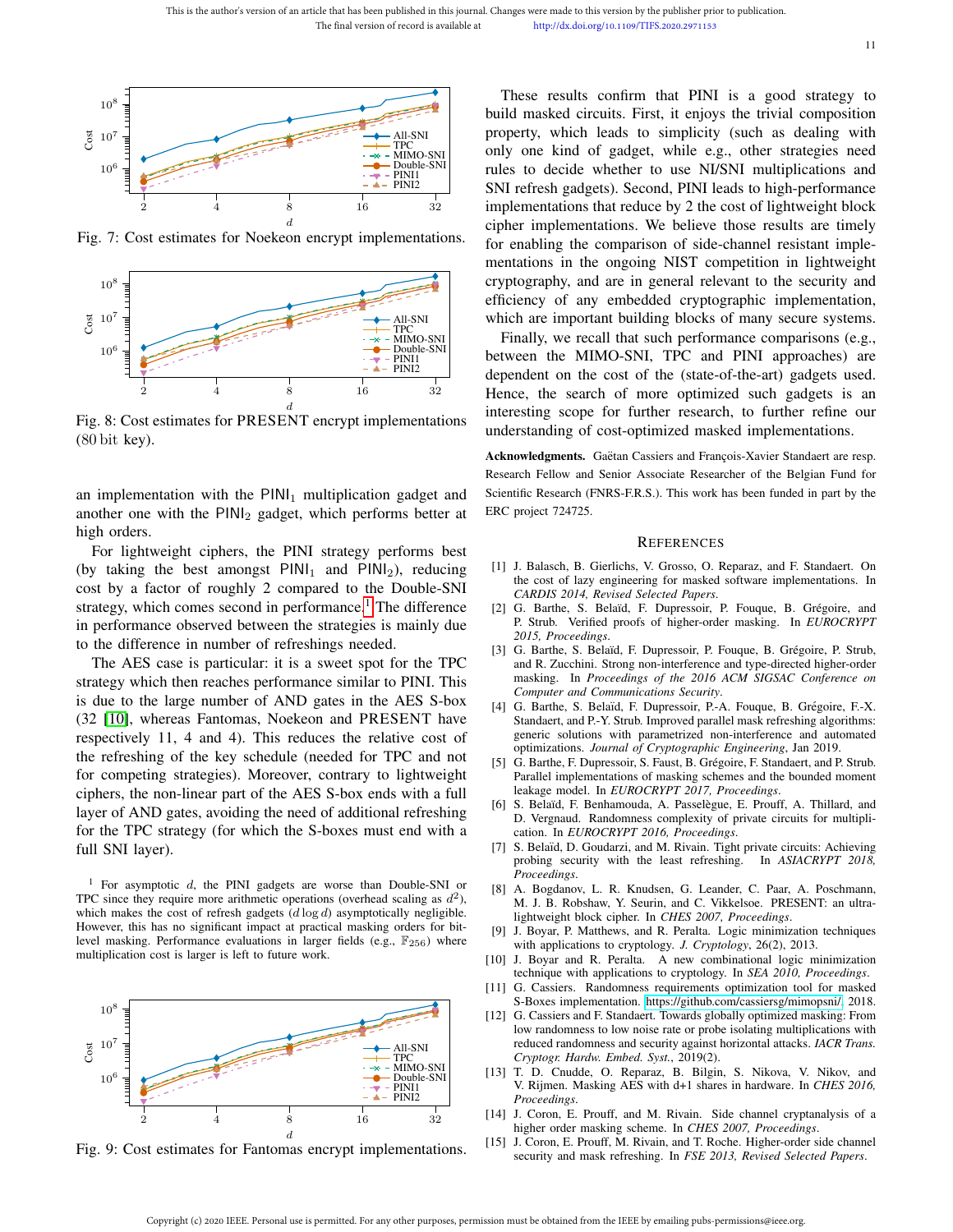Fig. 7: Cost estimates for Noekeon encrypt implementations.



Fig. 8: Cost estimates for PRESENT encrypt implementations (80 bit key).

an implementation with the  $PINI<sub>1</sub>$  multiplication gadget and another one with the  $PINI<sub>2</sub>$  gadget, which performs better at high orders.

For lightweight ciphers, the PINI strategy performs best (by taking the best amongst  $PINI_1$  and  $PINI_2$ ), reducing cost by a factor of roughly 2 compared to the Double-SNI strategy, which comes second in performance.<sup>1</sup> The difference in performance observed between the strategies is mainly due to the difference in number of refreshings needed.

The AES case is particular: it is a sweet spot for the TPC strategy which then reaches performance similar to PINI. This is due to the large number of AND gates in the AES S-box (32 [10], whereas Fantomas, Noekeon and PRESENT have respectively 11, 4 and 4). This reduces the relative cost of the refreshing of the key schedule (needed for TPC and not for competing strategies). Moreover, contrary to lightweight ciphers, the non-linear part of the AES S-box ends with a full layer of AND gates, avoiding the need of additional refreshing for the TPC strategy (for which the S-boxes must end with a full SNI layer).

 $1$  For asymptotic  $d$ , the PINI gadgets are worse than Double-SNI or TPC since they require more arithmetic operations (overhead scaling as  $d^2$ ), which makes the cost of refresh gadgets  $(d \log d)$  asymptotically negligible. However, this has no significant impact at practical masking orders for bitlevel masking. Performance evaluations in larger fields (e.g.,  $\mathbb{F}_{256}$ ) where multiplication cost is larger is left to future work.



Fig. 9: Cost estimates for Fantomas encrypt implementations.

These results confirm that PINI is a good strategy to build masked circuits. First, it enjoys the trivial composition property, which leads to simplicity (such as dealing with only one kind of gadget, while e.g., other strategies need rules to decide whether to use NI/SNI multiplications and SNI refresh gadgets). Second, PINI leads to high-performance implementations that reduce by 2 the cost of lightweight block cipher implementations. We believe those results are timely for enabling the comparison of side-channel resistant implementations in the ongoing NIST competition in lightweight cryptography, and are in general relevant to the security and efficiency of any embedded cryptographic implementation, which are important building blocks of many secure systems.

Finally, we recall that such performance comparisons (e.g., between the MIMO-SNI, TPC and PINI approaches) are dependent on the cost of the (state-of-the-art) gadgets used. Hence, the search of more optimized such gadgets is an interesting scope for further research, to further refine our understanding of cost-optimized masked implementations.

Acknowledgments. Gaëtan Cassiers and François-Xavier Standaert are resp. Research Fellow and Senior Associate Researcher of the Belgian Fund for Scientific Research (FNRS-F.R.S.). This work has been funded in part by the ERC project 724725.

#### **REFERENCES**

- [1] J. Balasch, B. Gierlichs, V. Grosso, O. Reparaz, and F. Standaert. On the cost of lazy engineering for masked software implementations. In *CARDIS 2014, Revised Selected Papers*.
- [2] G. Barthe, S. Belaïd, F. Dupressoir, P. Fouque, B. Grégoire, and P. Strub. Verified proofs of higher-order masking. In *EUROCRYPT 2015, Proceedings*.
- [3] G. Barthe, S. Belaïd, F. Dupressoir, P. Fouque, B. Grégoire, P. Strub, and R. Zucchini. Strong non-interference and type-directed higher-order masking. In *Proceedings of the 2016 ACM SIGSAC Conference on Computer and Communications Security*.
- [4] G. Barthe, S. Belaïd, F. Dupressoir, P.-A. Fouque, B. Grégoire, F.-X. Standaert, and P.-Y. Strub. Improved parallel mask refreshing algorithms: generic solutions with parametrized non-interference and automated optimizations. *Journal of Cryptographic Engineering*, Jan 2019.
- [5] G. Barthe, F. Dupressoir, S. Faust, B. Grégoire, F. Standaert, and P. Strub. Parallel implementations of masking schemes and the bounded moment leakage model. In *EUROCRYPT 2017, Proceedings*.
- [6] S. Belaïd, F. Benhamouda, A. Passelègue, E. Prouff, A. Thillard, and D. Vergnaud. Randomness complexity of private circuits for multiplication. In *EUROCRYPT 2016, Proceedings*.
- [7] S. Belaïd, D. Goudarzi, and M. Rivain. Tight private circuits: Achieving probing security with the least refreshing. In *ASIACRYPT 2018, Proceedings*.
- [8] A. Bogdanov, L. R. Knudsen, G. Leander, C. Paar, A. Poschmann, M. J. B. Robshaw, Y. Seurin, and C. Vikkelsoe. PRESENT: an ultralightweight block cipher. In *CHES 2007, Proceedings*.
- [9] J. Boyar, P. Matthews, and R. Peralta. Logic minimization techniques with applications to cryptology. *J. Cryptology*, 26(2), 2013.
- [10] J. Boyar and R. Peralta. A new combinational logic minimization technique with applications to cryptology. In *SEA 2010, Proceedings*.
- [11] G. Cassiers. Randomness requirements optimization tool for masked S-Boxes implementation. [https://github.com/cassiersg/mimopsni/,](https://github.com/cassiersg/mimopsni/) 2018.
- [12] G. Cassiers and F. Standaert. Towards globally optimized masking: From low randomness to low noise rate or probe isolating multiplications with reduced randomness and security against horizontal attacks. *IACR Trans. Cryptogr. Hardw. Embed. Syst.*, 2019(2).
- [13] T. D. Cnudde, O. Reparaz, B. Bilgin, S. Nikova, V. Nikov, and V. Rijmen. Masking AES with d+1 shares in hardware. In *CHES 2016, Proceedings*.
- [14] J. Coron, E. Prouff, and M. Rivain. Side channel cryptanalysis of a higher order masking scheme. In *CHES 2007, Proceedings*.
- [15] J. Coron, E. Prouff, M. Rivain, and T. Roche. Higher-order side channel security and mask refreshing. In *FSE 2013, Revised Selected Papers*.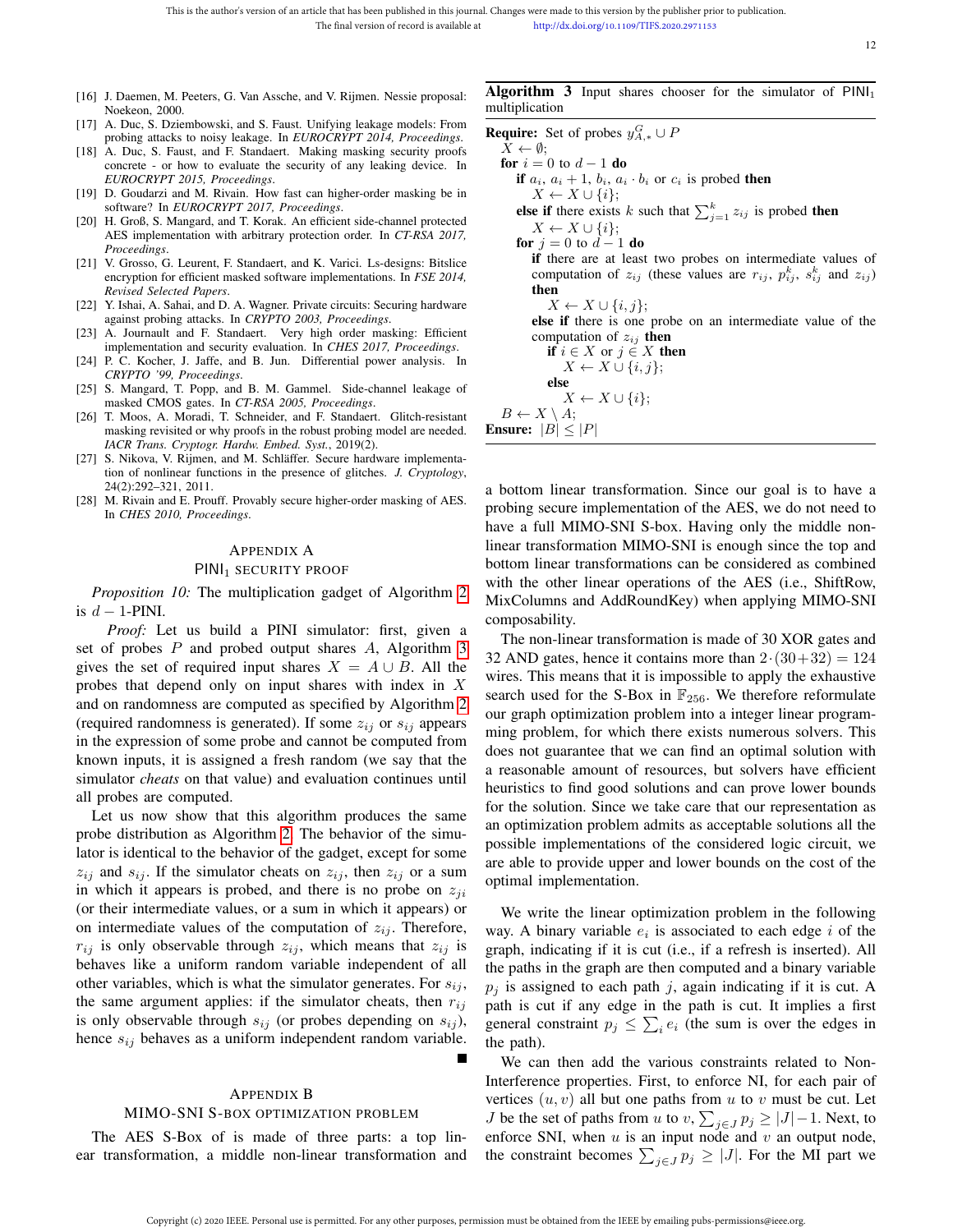- [16] J. Daemen, M. Peeters, G. Van Assche, and V. Rijmen. Nessie proposal: Noekeon, 2000.
- [17] A. Duc, S. Dziembowski, and S. Faust. Unifying leakage models: From probing attacks to noisy leakage. In *EUROCRYPT 2014, Proceedings*.
- [18] A. Duc, S. Faust, and F. Standaert. Making masking security proofs concrete - or how to evaluate the security of any leaking device. In *EUROCRYPT 2015, Proceedings*.
- [19] D. Goudarzi and M. Rivain. How fast can higher-order masking be in software? In *EUROCRYPT 2017, Proceedings*.
- [20] H. Groß, S. Mangard, and T. Korak. An efficient side-channel protected AES implementation with arbitrary protection order. In *CT-RSA 2017, Proceedings*.
- [21] V. Grosso, G. Leurent, F. Standaert, and K. Varici. Ls-designs: Bitslice encryption for efficient masked software implementations. In *FSE 2014, Revised Selected Papers*.
- [22] Y. Ishai, A. Sahai, and D. A. Wagner. Private circuits: Securing hardware against probing attacks. In *CRYPTO 2003, Proceedings*.
- [23] A. Journault and F. Standaert. Very high order masking: Efficient implementation and security evaluation. In *CHES 2017, Proceedings*.
- [24] P. C. Kocher, J. Jaffe, and B. Jun. Differential power analysis. In *CRYPTO '99, Proceedings*.
- [25] S. Mangard, T. Popp, and B. M. Gammel. Side-channel leakage of masked CMOS gates. In *CT-RSA 2005, Proceedings*.
- [26] T. Moos, A. Moradi, T. Schneider, and F. Standaert. Glitch-resistant masking revisited or why proofs in the robust probing model are needed. *IACR Trans. Cryptogr. Hardw. Embed. Syst.*, 2019(2).
- [27] S. Nikova, V. Rijmen, and M. Schläffer. Secure hardware implementation of nonlinear functions in the presence of glitches. *J. Cryptology*, 24(2):292–321, 2011.
- [28] M. Rivain and E. Prouff. Provably secure higher-order masking of AES. In *CHES 2010, Proceedings*.

#### APPENDIX A

#### PINI<sub>1</sub> SECURITY PROOF

*Proposition 10:* The multiplication gadget of Algorithm 2 is  $d - 1$ -PINI.

*Proof:* Let us build a PINI simulator: first, given a set of probes  $P$  and probed output shares  $A$ , Algorithm 3 gives the set of required input shares  $X = A \cup B$ . All the probes that depend only on input shares with index in X and on randomness are computed as specified by Algorithm 2 (required randomness is generated). If some  $z_{ij}$  or  $s_{ij}$  appears in the expression of some probe and cannot be computed from known inputs, it is assigned a fresh random (we say that the simulator *cheats* on that value) and evaluation continues until all probes are computed.

Let us now show that this algorithm produces the same probe distribution as Algorithm 2. The behavior of the simulator is identical to the behavior of the gadget, except for some  $z_{ij}$  and  $s_{ij}$ . If the simulator cheats on  $z_{ij}$ , then  $z_{ij}$  or a sum in which it appears is probed, and there is no probe on  $z_{ji}$ (or their intermediate values, or a sum in which it appears) or on intermediate values of the computation of  $z_{ij}$ . Therefore,  $r_{ij}$  is only observable through  $z_{ij}$ , which means that  $z_{ij}$  is behaves like a uniform random variable independent of all other variables, which is what the simulator generates. For  $s_{ij}$ , the same argument applies: if the simulator cheats, then  $r_{ij}$ is only observable through  $s_{ij}$  (or probes depending on  $s_{ij}$ ), hence  $s_{ij}$  behaves as a uniform independent random variable.

#### APPENDIX B

## MIMO-SNI S-BOX OPTIMIZATION PROBLEM

The AES S-Box of is made of three parts: a top linear transformation, a middle non-linear transformation and

## Algorithm 3 Input shares chooser for the simulator of PINI<sub>1</sub> multiplication

**Require:** Set of probes  $y_{A,*}^G \cup P$  $X \leftarrow \emptyset$ ; for  $i = 0$  to  $d - 1$  do if  $a_i$ ,  $a_i + 1$ ,  $b_i$ ,  $a_i \cdot b_i$  or  $c_i$  is probed then  $X \leftarrow X \cup \{i\};$ else if there exists k such that  $\sum_{j=1}^{k} z_{ij}$  is probed then  $X \leftarrow X \cup \{i\};$ for  $j = 0$  to  $d - 1$  do if there are at least two probes on intermediate values of computation of  $z_{ij}$  (these values are  $r_{ij}$ ,  $p_{ij}^k$ ,  $s_{ij}^k$  and  $z_{ij}$ ) then  $X \leftarrow X \cup \{i, j\};$ else if there is one probe on an intermediate value of the computation of  $z_{ij}$  then if  $i \in X$  or  $j \in X$  then  $X \leftarrow X \cup \{i, j\};$ else  $X \leftarrow X \cup \{i\};$  $B \leftarrow X \setminus A;$ Ensure:  $|B| \leq |P|$ 

a bottom linear transformation. Since our goal is to have a probing secure implementation of the AES, we do not need to have a full MIMO-SNI S-box. Having only the middle nonlinear transformation MIMO-SNI is enough since the top and bottom linear transformations can be considered as combined with the other linear operations of the AES (i.e., ShiftRow, MixColumns and AddRoundKey) when applying MIMO-SNI composability.

The non-linear transformation is made of 30 XOR gates and 32 AND gates, hence it contains more than  $2 \cdot (30+32) = 124$ wires. This means that it is impossible to apply the exhaustive search used for the S-Box in  $\mathbb{F}_{256}$ . We therefore reformulate our graph optimization problem into a integer linear programming problem, for which there exists numerous solvers. This does not guarantee that we can find an optimal solution with a reasonable amount of resources, but solvers have efficient heuristics to find good solutions and can prove lower bounds for the solution. Since we take care that our representation as an optimization problem admits as acceptable solutions all the possible implementations of the considered logic circuit, we are able to provide upper and lower bounds on the cost of the optimal implementation.

We write the linear optimization problem in the following way. A binary variable  $e_i$  is associated to each edge i of the graph, indicating if it is cut (i.e., if a refresh is inserted). All the paths in the graph are then computed and a binary variable  $p_i$  is assigned to each path j, again indicating if it is cut. A path is cut if any edge in the path is cut. It implies a first general constraint  $p_j \leq \sum_i e_i$  (the sum is over the edges in the path).

We can then add the various constraints related to Non-Interference properties. First, to enforce NI, for each pair of vertices  $(u, v)$  all but one paths from u to v must be cut. Let *J* be the set of paths from *u* to *v*,  $\sum_{j \in J} p_j \ge |J|-1$ . Next, to enforce SNI, when  $u$  is an input node and  $v$  an output node, the constraint becomes  $\sum_{j\in J} p_j \geq |J|$ . For the MI part we